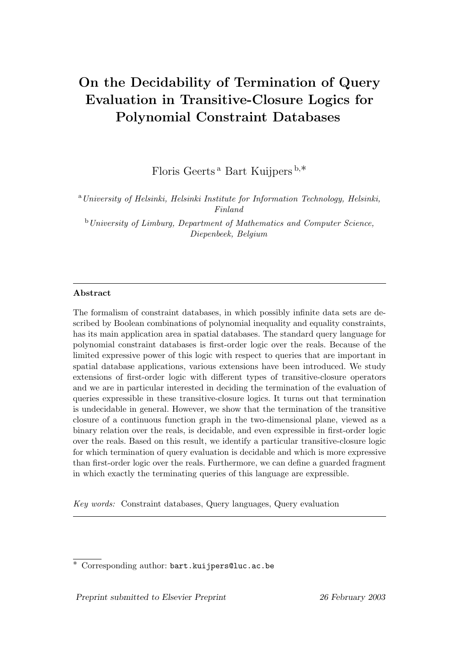# On the Decidability of Termination of Query Evaluation in Transitive-Closure Logics for Polynomial Constraint Databases

Floris Geerts <sup>a</sup> Bart Kuijpers <sup>b</sup>,∗

<sup>a</sup>University of Helsinki, Helsinki Institute for Information Technology, Helsinki, Finland

<sup>b</sup>University of Limburg, Department of Mathematics and Computer Science, Diepenbeek, Belgium

## Abstract

The formalism of constraint databases, in which possibly infinite data sets are described by Boolean combinations of polynomial inequality and equality constraints, has its main application area in spatial databases. The standard query language for polynomial constraint databases is first-order logic over the reals. Because of the limited expressive power of this logic with respect to queries that are important in spatial database applications, various extensions have been introduced. We study extensions of first-order logic with different types of transitive-closure operators and we are in particular interested in deciding the termination of the evaluation of queries expressible in these transitive-closure logics. It turns out that termination is undecidable in general. However, we show that the termination of the transitive closure of a continuous function graph in the two-dimensional plane, viewed as a binary relation over the reals, is decidable, and even expressible in first-order logic over the reals. Based on this result, we identify a particular transitive-closure logic for which termination of query evaluation is decidable and which is more expressive than first-order logic over the reals. Furthermore, we can define a guarded fragment in which exactly the terminating queries of this language are expressible.

Key words: Constraint databases, Query languages, Query evaluation

Preprint submitted to Elsevier Preprint 26 February 2003

<sup>∗</sup> Corresponding author: bart.kuijpers@luc.ac.be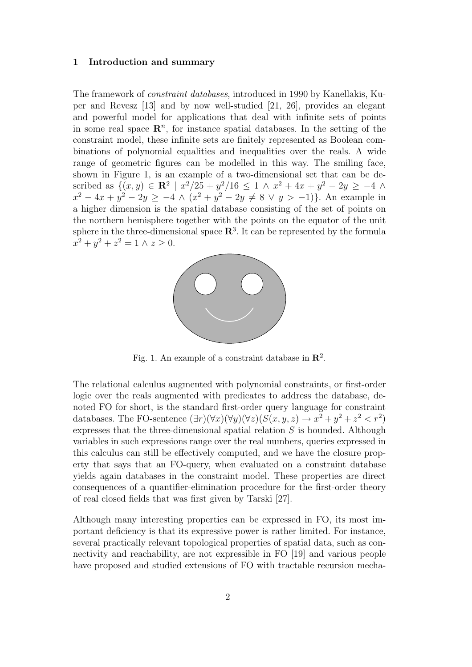#### 1 Introduction and summary

The framework of constraint databases, introduced in 1990 by Kanellakis, Kuper and Revesz [13] and by now well-studied [21, 26], provides an elegant and powerful model for applications that deal with infinite sets of points in some real space  $\mathbb{R}^n$ , for instance spatial databases. In the setting of the constraint model, these infinite sets are finitely represented as Boolean combinations of polynomial equalities and inequalities over the reals. A wide range of geometric figures can be modelled in this way. The smiling face, shown in Figure 1, is an example of a two-dimensional set that can be described as  $\{(x,y) \in \mathbb{R}^2 \mid x^2/25 + y^2/16 \leq 1 \land x^2 + 4x + y^2 - 2y \geq -4 \land x^2 + 4y^2 - 2y \geq 0 \}$  $x^2 - 4x + y^2 - 2y \ge -4 \wedge (x^2 + y^2 - 2y \ne 8 \vee y > -1)$ . An example in a higher dimension is the spatial database consisting of the set of points on the northern hemisphere together with the points on the equator of the unit sphere in the three-dimensional space  $\mathbf{R}^{3}$ . It can be represented by the formula  $x^2 + y^2 + z^2 = 1 \wedge z \ge 0.$ 



Fig. 1. An example of a constraint database in  $\mathbb{R}^2$ .

The relational calculus augmented with polynomial constraints, or first-order logic over the reals augmented with predicates to address the database, denoted FO for short, is the standard first-order query language for constraint databases. The FO-sentence  $(\exists r)(\forall x)(\forall y)(\forall z)(S(x, y, z) \rightarrow x^2 + y^2 + z^2 < r^2)$ expresses that the three-dimensional spatial relation  $S$  is bounded. Although variables in such expressions range over the real numbers, queries expressed in this calculus can still be effectively computed, and we have the closure property that says that an FO-query, when evaluated on a constraint database yields again databases in the constraint model. These properties are direct consequences of a quantifier-elimination procedure for the first-order theory of real closed fields that was first given by Tarski [27].

Although many interesting properties can be expressed in FO, its most important deficiency is that its expressive power is rather limited. For instance, several practically relevant topological properties of spatial data, such as connectivity and reachability, are not expressible in FO [19] and various people have proposed and studied extensions of FO with tractable recursion mecha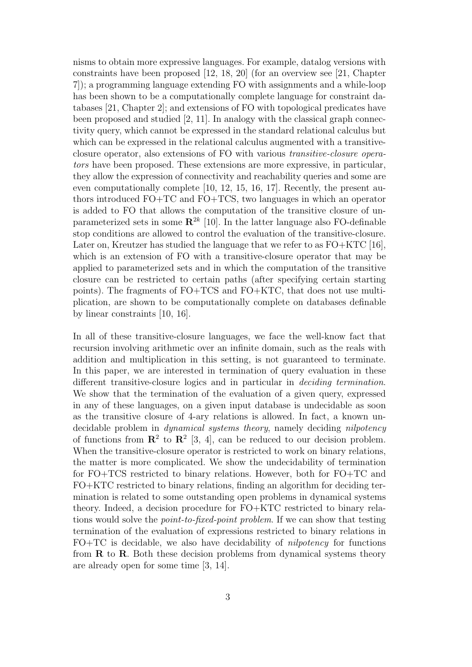nisms to obtain more expressive languages. For example, datalog versions with constraints have been proposed [12, 18, 20] (for an overview see [21, Chapter 7]); a programming language extending FO with assignments and a while-loop has been shown to be a computationally complete language for constraint databases [21, Chapter 2]; and extensions of FO with topological predicates have been proposed and studied [2, 11]. In analogy with the classical graph connectivity query, which cannot be expressed in the standard relational calculus but which can be expressed in the relational calculus augmented with a transitiveclosure operator, also extensions of FO with various transitive-closure operators have been proposed. These extensions are more expressive, in particular, they allow the expression of connectivity and reachability queries and some are even computationally complete [10, 12, 15, 16, 17]. Recently, the present authors introduced FO+TC and FO+TCS, two languages in which an operator is added to FO that allows the computation of the transitive closure of unparameterized sets in some  $\mathbb{R}^{2k}$  [10]. In the latter language also FO-definable stop conditions are allowed to control the evaluation of the transitive-closure. Later on, Kreutzer has studied the language that we refer to as  $FO+KTC$  [16], which is an extension of FO with a transitive-closure operator that may be applied to parameterized sets and in which the computation of the transitive closure can be restricted to certain paths (after specifying certain starting points). The fragments of FO+TCS and FO+KTC, that does not use multiplication, are shown to be computationally complete on databases definable by linear constraints [10, 16].

In all of these transitive-closure languages, we face the well-know fact that recursion involving arithmetic over an infinite domain, such as the reals with addition and multiplication in this setting, is not guaranteed to terminate. In this paper, we are interested in termination of query evaluation in these different transitive-closure logics and in particular in deciding termination. We show that the termination of the evaluation of a given query, expressed in any of these languages, on a given input database is undecidable as soon as the transitive closure of 4-ary relations is allowed. In fact, a known undecidable problem in *dynamical systems theory*, namely deciding *nilpotency* of functions from  $\mathbb{R}^2$  to  $\mathbb{R}^2$  [3, 4], can be reduced to our decision problem. When the transitive-closure operator is restricted to work on binary relations, the matter is more complicated. We show the undecidability of termination for FO+TCS restricted to binary relations. However, both for FO+TC and FO+KTC restricted to binary relations, finding an algorithm for deciding termination is related to some outstanding open problems in dynamical systems theory. Indeed, a decision procedure for FO+KTC restricted to binary relations would solve the point-to-fixed-point problem. If we can show that testing termination of the evaluation of expressions restricted to binary relations in  $FO+TC$  is decidable, we also have decidability of *nilpotency* for functions from  $\bf R$  to  $\bf R$ . Both these decision problems from dynamical systems theory are already open for some time [3, 14].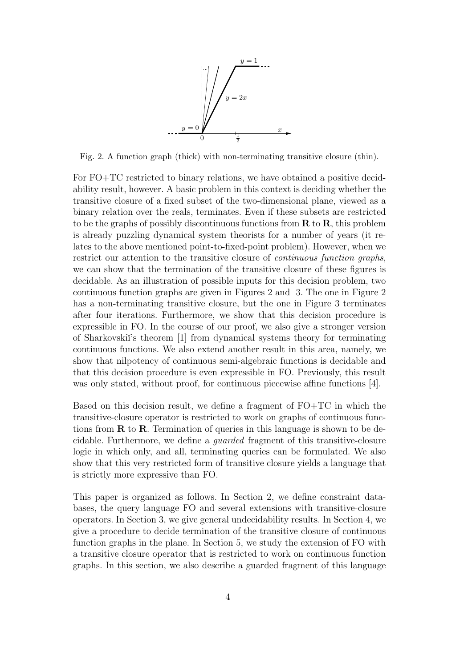

Fig. 2. A function graph (thick) with non-terminating transitive closure (thin).

For FO+TC restricted to binary relations, we have obtained a positive decidability result, however. A basic problem in this context is deciding whether the transitive closure of a fixed subset of the two-dimensional plane, viewed as a binary relation over the reals, terminates. Even if these subsets are restricted to be the graphs of possibly discontinuous functions from  $\bf R$  to  $\bf R$ , this problem is already puzzling dynamical system theorists for a number of years (it relates to the above mentioned point-to-fixed-point problem). However, when we restrict our attention to the transitive closure of continuous function graphs, we can show that the termination of the transitive closure of these figures is decidable. As an illustration of possible inputs for this decision problem, two continuous function graphs are given in Figures 2 and 3. The one in Figure 2 has a non-terminating transitive closure, but the one in Figure 3 terminates after four iterations. Furthermore, we show that this decision procedure is expressible in FO. In the course of our proof, we also give a stronger version of Sharkovski˘ı's theorem [1] from dynamical systems theory for terminating continuous functions. We also extend another result in this area, namely, we show that nilpotency of continuous semi-algebraic functions is decidable and that this decision procedure is even expressible in FO. Previously, this result was only stated, without proof, for continuous piecewise affine functions [4].

Based on this decision result, we define a fragment of FO+TC in which the transitive-closure operator is restricted to work on graphs of continuous functions from  $\bf R$  to  $\bf R$ . Termination of queries in this language is shown to be decidable. Furthermore, we define a guarded fragment of this transitive-closure logic in which only, and all, terminating queries can be formulated. We also show that this very restricted form of transitive closure yields a language that is strictly more expressive than FO.

This paper is organized as follows. In Section 2, we define constraint databases, the query language FO and several extensions with transitive-closure operators. In Section 3, we give general undecidability results. In Section 4, we give a procedure to decide termination of the transitive closure of continuous function graphs in the plane. In Section 5, we study the extension of FO with a transitive closure operator that is restricted to work on continuous function graphs. In this section, we also describe a guarded fragment of this language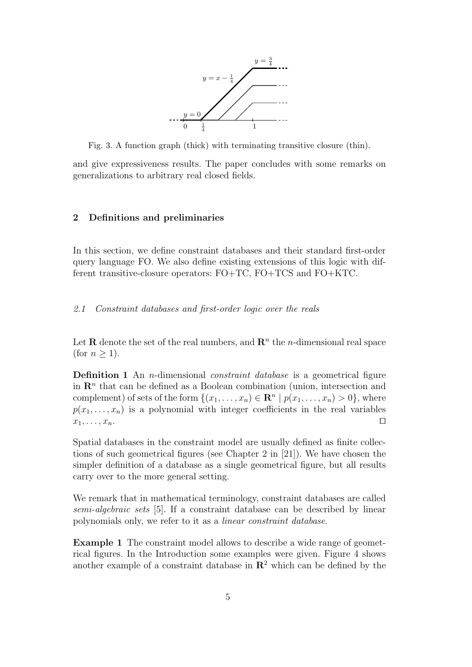

Fig. 3. A function graph (thick) with terminating transitive closure (thin).

and give expressiveness results. The paper concludes with some remarks on generalizations to arbitrary real closed fields.

#### 2 Definitions and preliminaries

In this section, we define constraint databases and their standard first-order query language FO. We also define existing extensions of this logic with different transitive-closure operators: FO+TC, FO+TCS and FO+KTC.

#### 2.1 Constraint databases and first-order logic over the reals

Let **R** denote the set of the real numbers, and  $\mathbb{R}^n$  the *n*-dimensional real space (for  $n \geq 1$ ).

**Definition 1** An *n*-dimensional *constraint database* is a geometrical figure in  $\mathbb{R}^n$  that can be defined as a Boolean combination (union, intersection and complement) of sets of the form  $\{(x_1, \ldots, x_n) \in \mathbb{R}^n \mid p(x_1, \ldots, x_n) > 0\}$ , where  $p(x_1, \ldots, x_n)$  is a polynomial with integer coefficients in the real variables  $x_1, \ldots, x_n.$ 

Spatial databases in the constraint model are usually defined as finite collections of such geometrical figures (see Chapter 2 in [21]). We have chosen the simpler definition of a database as a single geometrical figure, but all results carry over to the more general setting.

We remark that in mathematical terminology, constraint databases are called semi-algebraic sets [5]. If a constraint database can be described by linear polynomials only, we refer to it as a linear constraint database.

Example 1 The constraint model allows to describe a wide range of geometrical figures. In the Introduction some examples were given. Figure 4 shows another example of a constraint database in  $\mathbb{R}^2$  which can be defined by the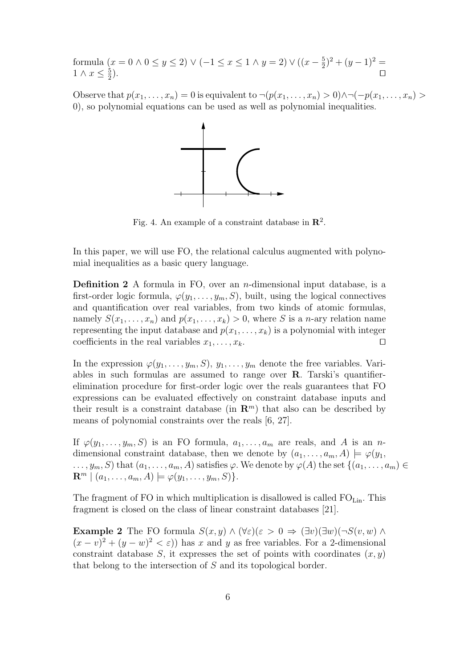formula  $(x = 0 \land 0 \le y \le 2) \lor (-1 \le x \le 1 \land y = 2) \lor ((x - \frac{5}{2})$  $(\frac{5}{2})^2 + (y-1)^2 =$  $1 \wedge x \leq \frac{5}{2}$ 2 ).  $\hskip10mm \square$ 

Observe that  $p(x_1, \ldots, x_n) = 0$  is equivalent to  $\neg(p(x_1, \ldots, x_n) > 0) \wedge \neg(\neg p(x_1, \ldots, x_n) > 0)$ 0), so polynomial equations can be used as well as polynomial inequalities.



Fig. 4. An example of a constraint database in  $\mathbb{R}^2$ .

In this paper, we will use FO, the relational calculus augmented with polynomial inequalities as a basic query language.

**Definition 2** A formula in FO, over an *n*-dimensional input database, is a first-order logic formula,  $\varphi(y_1, \ldots, y_m, S)$ , built, using the logical connectives and quantification over real variables, from two kinds of atomic formulas, namely  $S(x_1, \ldots, x_n)$  and  $p(x_1, \ldots, x_k) > 0$ , where S is a *n*-ary relation name representing the input database and  $p(x_1, \ldots, x_k)$  is a polynomial with integer coefficients in the real variables  $x_1, \ldots, x_k$ .

In the expression  $\varphi(y_1, \ldots, y_m, S), y_1, \ldots, y_m$  denote the free variables. Variables in such formulas are assumed to range over R. Tarski's quantifierelimination procedure for first-order logic over the reals guarantees that FO expressions can be evaluated effectively on constraint database inputs and their result is a constraint database (in  $\mathbb{R}^m$ ) that also can be described by means of polynomial constraints over the reals [6, 27].

If  $\varphi(y_1,\ldots,y_m,S)$  is an FO formula,  $a_1,\ldots,a_m$  are reals, and A is an ndimensional constraint database, then we denote by  $(a_1, \ldots, a_m, A) \models \varphi(y_1,$  $\dots, y_m, S$  that  $(a_1, \dots, a_m, A)$  satisfies  $\varphi$ . We denote by  $\varphi(A)$  the set  $\{(a_1, \dots, a_m) \in$  $\mathbf{R}^m \mid (a_1, \ldots, a_m, A) \models \varphi(y_1, \ldots, y_m, S).$ 

The fragment of FO in which multiplication is disallowed is called  $FO<sub>Lin</sub>$ . This fragment is closed on the class of linear constraint databases [21].

**Example 2** The FO formula  $S(x, y) \wedge (\forall \varepsilon)(\varepsilon > 0 \Rightarrow (\exists v)(\exists w)(\neg S(v, w) \wedge$  $(x - v)^2 + (y - w)^2 < \varepsilon$ ) has x and y as free variables. For a 2-dimensional constraint database S, it expresses the set of points with coordinates  $(x, y)$ that belong to the intersection of S and its topological border.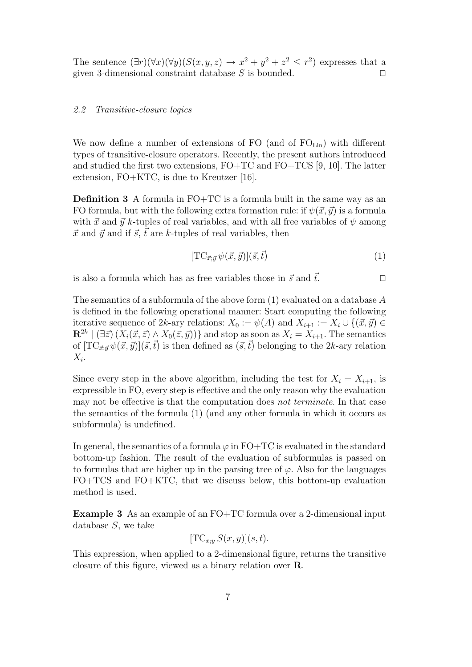The sentence  $(\exists r)(\forall x)(\forall y)(S(x, y, z) \rightarrow x^2 + y^2 + z^2 \leq r^2)$  expresses that a given 3-dimensional constraint database  $S$  is bounded.  $\square$ 

## 2.2 Transitive-closure logics

We now define a number of extensions of FO (and of  $FO_{Lin}$ ) with different types of transitive-closure operators. Recently, the present authors introduced and studied the first two extensions, FO+TC and FO+TCS [9, 10]. The latter extension, FO+KTC, is due to Kreutzer [16].

Definition 3 A formula in FO+TC is a formula built in the same way as an FO formula, but with the following extra formation rule: if  $\psi(\vec{x}, \vec{y})$  is a formula with  $\vec{x}$  and  $\vec{y}$  k-tuples of real variables, and with all free variables of  $\psi$  among  $\vec{x}$  and  $\vec{y}$  and if  $\vec{s}$ ,  $\vec{t}$  are k-tuples of real variables, then

$$
[\text{TC}_{\vec{x};\vec{y}}\,\psi(\vec{x},\vec{y})](\vec{s},\vec{t})\tag{1}
$$

is also a formula which has as free variables those in  $\vec{s}$  and  $\vec{t}$ .

The semantics of a subformula of the above form  $(1)$  evaluated on a database A is defined in the following operational manner: Start computing the following iterative sequence of 2k-ary relations:  $X_0 := \psi(A)$  and  $X_{i+1} := X_i \cup \{(\vec{x}, \vec{y}) \in$  ${\bf R}^{2k}\mid (\exists \vec{z})\, (X_i(\vec{x},\vec{z}) \wedge X_0(\vec{z},\vec{y}))\}$  and stop as soon as  $X_i=X_{i+1}.$  The semantics of  $[TC_{\vec{x};\vec{y}}\psi(\vec{x},\vec{y})](\vec{s},\vec{t})$  is then defined as  $(\vec{s},\vec{t})$  belonging to the 2k-ary relation  $X_i$ .

Since every step in the above algorithm, including the test for  $X_i = X_{i+1}$ , is expressible in FO, every step is effective and the only reason why the evaluation may not be effective is that the computation does not terminate. In that case the semantics of the formula (1) (and any other formula in which it occurs as subformula) is undefined.

In general, the semantics of a formula  $\varphi$  in FO+TC is evaluated in the standard bottom-up fashion. The result of the evaluation of subformulas is passed on to formulas that are higher up in the parsing tree of  $\varphi$ . Also for the languages FO+TCS and FO+KTC, that we discuss below, this bottom-up evaluation method is used.

Example 3 As an example of an FO+TC formula over a 2-dimensional input database S, we take

$$
[\text{TC}_{x,y} S(x,y)](s,t).
$$

This expression, when applied to a 2-dimensional figure, returns the transitive closure of this figure, viewed as a binary relation over R.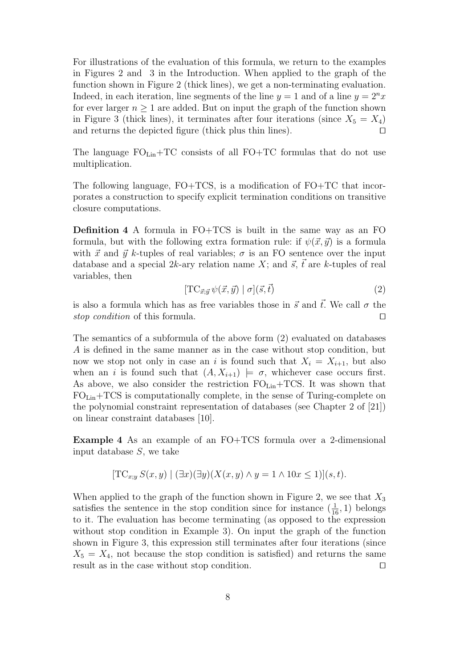For illustrations of the evaluation of this formula, we return to the examples in Figures 2 and 3 in the Introduction. When applied to the graph of the function shown in Figure 2 (thick lines), we get a non-terminating evaluation. Indeed, in each iteration, line segments of the line  $y = 1$  and of a line  $y = 2^n x$ for ever larger  $n \geq 1$  are added. But on input the graph of the function shown in Figure 3 (thick lines), it terminates after four iterations (since  $X_5 = X_4$ ) and returns the depicted figure (thick plus thin lines).  $\square$ 

The language  $FO_{Lin}+TC$  consists of all  $FO+TC$  formulas that do not use multiplication.

The following language, FO+TCS, is a modification of FO+TC that incorporates a construction to specify explicit termination conditions on transitive closure computations.

Definition 4 A formula in FO+TCS is built in the same way as an FO formula, but with the following extra formation rule: if  $\psi(\vec{x}, \vec{y})$  is a formula with  $\vec{x}$  and  $\vec{y}$  k-tuples of real variables;  $\sigma$  is an FO sentence over the input database and a special 2k-ary relation name X; and  $\vec{s}$ ,  $\vec{t}$  are k-tuples of real variables, then

$$
[\text{TC}_{\vec{x};\vec{y}}\,\psi(\vec{x},\vec{y}) \mid \sigma](\vec{s},\vec{t}) \tag{2}
$$

is also a formula which has as free variables those in  $\vec{s}$  and  $\vec{t}$ . We call  $\sigma$  the stop condition of this formula.  $\square$ 

The semantics of a subformula of the above form (2) evaluated on databases A is defined in the same manner as in the case without stop condition, but now we stop not only in case an i is found such that  $X_i = X_{i+1}$ , but also when an i is found such that  $(A, X_{i+1}) \models \sigma$ , whichever case occurs first. As above, we also consider the restriction  $FO_{Lin}+TCS$ . It was shown that FOLin+TCS is computationally complete, in the sense of Turing-complete on the polynomial constraint representation of databases (see Chapter 2 of [21]) on linear constraint databases [10].

Example 4 As an example of an FO+TCS formula over a 2-dimensional input database S, we take

$$
[TC_{x,y} S(x,y) | (\exists x)(\exists y)(X(x,y) \land y=1 \land 10x \le 1)](s,t).
$$

When applied to the graph of the function shown in Figure 2, we see that  $X_3$ satisfies the sentence in the stop condition since for instance  $(\frac{1}{16}, 1)$  belongs to it. The evaluation has become terminating (as opposed to the expression without stop condition in Example 3). On input the graph of the function shown in Figure 3, this expression still terminates after four iterations (since  $X_5 = X_4$ , not because the stop condition is satisfied) and returns the same result as in the case without stop condition.  $\hfill \Box$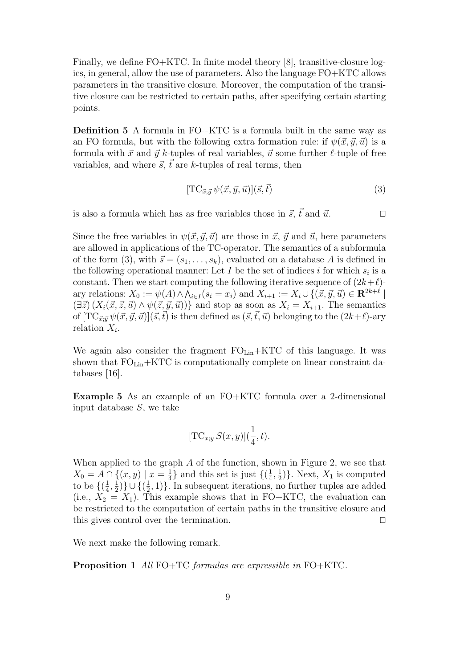Finally, we define FO+KTC. In finite model theory [8], transitive-closure logics, in general, allow the use of parameters. Also the language FO+KTC allows parameters in the transitive closure. Moreover, the computation of the transitive closure can be restricted to certain paths, after specifying certain starting points.

Definition 5 A formula in FO+KTC is a formula built in the same way as an FO formula, but with the following extra formation rule: if  $\psi(\vec{x}, \vec{y}, \vec{u})$  is a formula with  $\vec{x}$  and  $\vec{y}$  k-tuples of real variables,  $\vec{u}$  some further  $\ell$ -tuple of free variables, and where  $\vec{s}$ ,  $\vec{t}$  are k-tuples of real terms, then

$$
[\text{TC}_{\vec{x};\vec{y}}\,\psi(\vec{x},\vec{y},\vec{u})](\vec{s},\vec{t})\tag{3}
$$

is also a formula which has as free variables those in  $\vec{s}$ ,  $\vec{t}$  and  $\vec{u}$ .

Since the free variables in  $\psi(\vec{x}, \vec{y}, \vec{u})$  are those in  $\vec{x}, \vec{y}$  and  $\vec{u}$ , here parameters are allowed in applications of the TC-operator. The semantics of a subformula of the form (3), with  $\vec{s} = (s_1, \ldots, s_k)$ , evaluated on a database A is defined in the following operational manner: Let  $I$  be the set of indices  $i$  for which  $s_i$  is a constant. Then we start computing the following iterative sequence of  $(2k+\ell)$ ary relations:  $X_0 := \psi(A) \wedge \bigwedge_{i \in I} (s_i = x_i)$  and  $X_{i+1} := X_i \cup \{(\vec{x}, \vec{y}, \vec{u}) \in \mathbb{R}^{2k+\ell} \mid \vec{v} \in \vec{A} \}$  $(\exists \vec{z}) (X_i(\vec{x}, \vec{z}, \vec{u}) \wedge \psi(\vec{z}, \vec{y}, \vec{u}))$  and stop as soon as  $X_i = X_{i+1}$ . The semantics of  $[TC_{\vec{x},\vec{y}}\psi(\vec{x},\vec{y},\vec{u})](\vec{s},\vec{t})$  is then defined as  $(\vec{s},\vec{t},\vec{u})$  belonging to the  $(2k+\ell)$ -ary relation  $X_i$ .

We again also consider the fragment  $FO<sub>Lin</sub>+KTC$  of this language. It was shown that  $FO_{Lin}+KTC$  is computationally complete on linear constraint databases [16].

Example 5 As an example of an FO+KTC formula over a 2-dimensional input database  $S$ , we take

$$
[\mathrm{TC}_{x;y}\,S(x,y)](\frac{1}{4},t).
$$

When applied to the graph  $A$  of the function, shown in Figure 2, we see that  $X_0 = A \cap \{(x, y) \mid x = \frac{1}{4}\}$  $\frac{1}{4}$ } and this set is just  $\{(\frac{1}{4})$  $\frac{1}{4}, \frac{1}{2}$  $(\frac{1}{2})\}$ . Next,  $X_1$  is computed to be  $\{(\frac{1}{4}$  $\frac{1}{4}$ ,  $\frac{1}{2}$  $\frac{1}{2})\}\cup\{(\frac{1}{2})$  $(\frac{1}{2}, 1)$ . In subsequent iterations, no further tuples are added (i.e.,  $X_2 = X_1$ ). This example shows that in FO+KTC, the evaluation can be restricted to the computation of certain paths in the transitive closure and this gives control over the termination.  $\Box$ 

We next make the following remark.

Proposition 1 All FO+TC formulas are expressible in FO+KTC.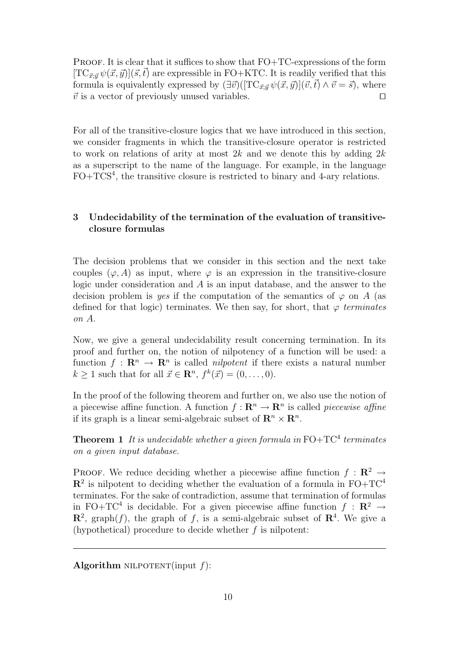**PROOF.** It is clear that it suffices to show that  $FO+TC$ -expressions of the form  $[TC_{\vec{x};\vec{y}}\psi(\vec{x},\vec{y})](\vec{s},\vec{t})$  are expressible in FO+KTC. It is readily verified that this formula is equivalently expressed by  $(\exists \vec{v})([\text{TC}_{\vec{x}:\vec{y}} \psi(\vec{x}, \vec{y})](\vec{v}, \vec{t}) \wedge \vec{v} = \vec{s})$ , where  $\vec{v}$  is a vector of previously unused variables.

For all of the transitive-closure logics that we have introduced in this section, we consider fragments in which the transitive-closure operator is restricted to work on relations of arity at most  $2k$  and we denote this by adding  $2k$ as a superscript to the name of the language. For example, in the language FO+TCS<sup>4</sup>, the transitive closure is restricted to binary and 4-ary relations.

# 3 Undecidability of the termination of the evaluation of transitiveclosure formulas

The decision problems that we consider in this section and the next take couples  $(\varphi, A)$  as input, where  $\varphi$  is an expression in the transitive-closure logic under consideration and A is an input database, and the answer to the decision problem is yes if the computation of the semantics of  $\varphi$  on A (as defined for that logic) terminates. We then say, for short, that  $\varphi$  terminates on A.

Now, we give a general undecidability result concerning termination. In its proof and further on, the notion of nilpotency of a function will be used: a function  $f: \mathbf{R}^n \to \mathbf{R}^n$  is called *nilpotent* if there exists a natural number  $k \geq 1$  such that for all  $\vec{x} \in \mathbb{R}^n$ ,  $f^k(\vec{x}) = (0, \ldots, 0)$ .

In the proof of the following theorem and further on, we also use the notion of a piecewise affine function. A function  $f: \mathbf{R}^n \to \mathbf{R}^n$  is called *piecewise affine* if its graph is a linear semi-algebraic subset of  $\mathbf{R}^n \times \mathbf{R}^n$ .

**Theorem 1** It is undecidable whether a given formula in  $FO+TC^4$  terminates on a given input database.

PROOF. We reduce deciding whether a piecewise affine function  $f : \mathbb{R}^2 \to$  $\mathbb{R}^2$  is nilpotent to deciding whether the evaluation of a formula in FO+TC<sup>4</sup> terminates. For the sake of contradiction, assume that termination of formulas in FO+TC<sup>4</sup> is decidable. For a given piecewise affine function  $f : \mathbb{R}^2 \to$  $\mathbb{R}^2$ , graph(f), the graph of f, is a semi-algebraic subset of  $\mathbb{R}^4$ . We give a (hypothetical) procedure to decide whether  $f$  is nilpotent:

Algorithm NILPOTENT(input  $f$ ):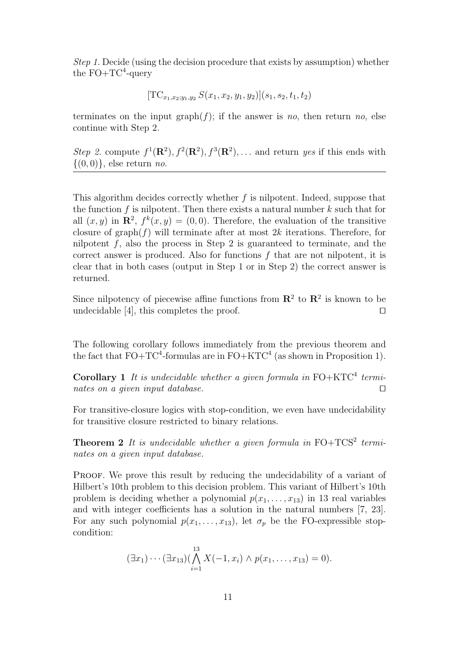Step 1. Decide (using the decision procedure that exists by assumption) whether the  $FO+TC^4$ -query

$$
[\text{TC}_{x_1,x_2;y_1,y_2} S(x_1,x_2,y_1,y_2)](s_1,s_2,t_1,t_2)
$$

terminates on the input graph $(f)$ ; if the answer is no, then return no, else continue with Step 2.

Step 2. compute  $f^1(\mathbf{R}^2), f^2(\mathbf{R}^2), f^3(\mathbf{R}^2), \ldots$  and return yes if this ends with  $\{(0,0)\}\text{, else return } no.$ 

This algorithm decides correctly whether  $f$  is nilpotent. Indeed, suppose that the function f is nilpotent. Then there exists a natural number  $k$  such that for all  $(x, y)$  in  $\mathbb{R}^2$ ,  $f^k(x, y) = (0, 0)$ . Therefore, the evaluation of the transitive closure of graph $(f)$  will terminate after at most 2k iterations. Therefore, for nilpotent  $f$ , also the process in Step 2 is guaranteed to terminate, and the correct answer is produced. Also for functions  $f$  that are not nilpotent, it is clear that in both cases (output in Step 1 or in Step 2) the correct answer is returned.

Since nilpotency of piecewise affine functions from  $\mathbb{R}^2$  to  $\mathbb{R}^2$  is known to be undecidable [4], this completes the proof.  $\square$ 

The following corollary follows immediately from the previous theorem and the fact that  $FO+TC^4$ -formulas are in  $FO+KTC^4$  (as shown in Proposition 1).

**Corollary 1** It is undecidable whether a given formula in  $FO + KTC^4$  terminates on a given input database.  $\Box$ 

For transitive-closure logics with stop-condition, we even have undecidability for transitive closure restricted to binary relations.

**Theorem 2** It is undecidable whether a given formula in  $FO+TCS^2$  terminates on a given input database.

PROOF. We prove this result by reducing the undecidability of a variant of Hilbert's 10th problem to this decision problem. This variant of Hilbert's 10th problem is deciding whether a polynomial  $p(x_1, \ldots, x_{13})$  in 13 real variables and with integer coefficients has a solution in the natural numbers [7, 23]. For any such polynomial  $p(x_1, \ldots, x_{13})$ , let  $\sigma_p$  be the FO-expressible stopcondition:

$$
(\exists x_1)\cdots(\exists x_{13})(\bigwedge_{i=1}^{13}X(-1,x_i)\wedge p(x_1,\ldots,x_{13})=0).
$$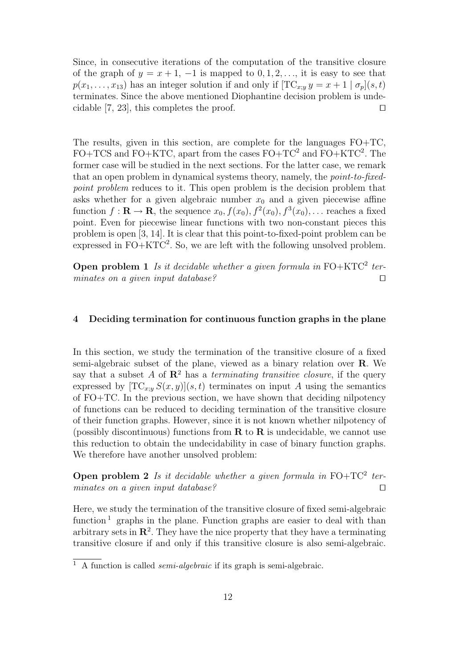Since, in consecutive iterations of the computation of the transitive closure of the graph of  $y = x + 1$ ,  $-1$  is mapped to  $0, 1, 2, \ldots$ , it is easy to see that  $p(x_1, \ldots, x_{13})$  has an integer solution if and only if  $[\text{TC}_{x:y} y = x + 1 \mid \sigma_p](s, t)$ terminates. Since the above mentioned Diophantine decision problem is undecidable [7, 23], this completes the proof.  $\square$ 

The results, given in this section, are complete for the languages FO+TC,  $FO+TCS$  and  $FO+KTC$ , apart from the cases  $FO+TC^2$  and  $FO+KTC^2$ . The former case will be studied in the next sections. For the latter case, we remark that an open problem in dynamical systems theory, namely, the point-to-fixedpoint problem reduces to it. This open problem is the decision problem that asks whether for a given algebraic number  $x_0$  and a given piecewise affine function  $f: \mathbf{R} \to \mathbf{R}$ , the sequence  $x_0, f(x_0), f^2(x_0), f^3(x_0), \dots$  reaches a fixed point. Even for piecewise linear functions with two non-constant pieces this problem is open [3, 14]. It is clear that this point-to-fixed-point problem can be expressed in  $FO+KTC^2$ . So, we are left with the following unsolved problem.

**Open problem 1** Is it decidable whether a given formula in  $FO + KTC^2$  terminates on a given input database?

#### 4 Deciding termination for continuous function graphs in the plane

In this section, we study the termination of the transitive closure of a fixed semi-algebraic subset of the plane, viewed as a binary relation over R. We say that a subset A of  $\mathbb{R}^2$  has a terminating transitive closure, if the query expressed by  $[TC_{x:y}S(x,y)](s,t)$  terminates on input A using the semantics of FO+TC. In the previous section, we have shown that deciding nilpotency of functions can be reduced to deciding termination of the transitive closure of their function graphs. However, since it is not known whether nilpotency of (possibly discontinuous) functions from  $\bf{R}$  to  $\bf{R}$  is undecidable, we cannot use this reduction to obtain the undecidability in case of binary function graphs. We therefore have another unsolved problem:

**Open problem 2** Is it decidable whether a given formula in  $FO+TC^2$  terminates on a given input database?

Here, we study the termination of the transitive closure of fixed semi-algebraic function<sup>1</sup> graphs in the plane. Function graphs are easier to deal with than arbitrary sets in  $\mathbb{R}^2$ . They have the nice property that they have a terminating transitive closure if and only if this transitive closure is also semi-algebraic.

<sup>&</sup>lt;sup>1</sup> A function is called *semi-algebraic* if its graph is semi-algebraic.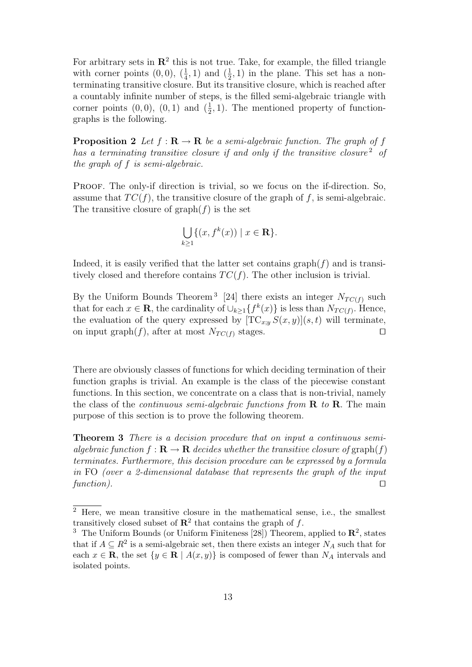For arbitrary sets in  $\mathbb{R}^2$  this is not true. Take, for example, the filled triangle with corner points  $(0,0)$ ,  $(\frac{1}{4},1)$  and  $(\frac{1}{2},1)$  in the plane. This set has a nonterminating transitive closure. But its transitive closure, which is reached after a countably infinite number of steps, is the filled semi-algebraic triangle with corner points  $(0,0)$ ,  $(0,1)$  and  $(\frac{1}{2},1)$ . The mentioned property of functiongraphs is the following.

**Proposition 2** Let  $f : \mathbf{R} \to \mathbf{R}$  be a semi-algebraic function. The graph of f has a terminating transitive closure if and only if the transitive closure<sup>2</sup> of the graph of f is semi-algebraic.

Proof. The only-if direction is trivial, so we focus on the if-direction. So, assume that  $TC(f)$ , the transitive closure of the graph of f, is semi-algebraic. The transitive closure of  $graph(f)$  is the set

$$
\bigcup_{k\geq 1} \{(x, f^k(x)) \mid x \in \mathbf{R}\}.
$$

Indeed, it is easily verified that the latter set contains  $graph(f)$  and is transitively closed and therefore contains  $TC(f)$ . The other inclusion is trivial.

By the Uniform Bounds Theorem<sup>3</sup> [24] there exists an integer  $N_{TC(f)}$  such that for each  $x \in \mathbf{R}$ , the cardinality of  $\cup_{k \geq 1} \{ f^k(x) \}$  is less than  $N_{TC(f)}$ . Hence, the evaluation of the query expressed by  $[TC_{x,y}S(x, y)](s, t)$  will terminate, on input graph(f), after at most  $N_{TC(f)}$  stages.

There are obviously classes of functions for which deciding termination of their function graphs is trivial. An example is the class of the piecewise constant functions. In this section, we concentrate on a class that is non-trivial, namely the class of the *continuous semi-algebraic functions from*  $\bf{R}$  to  $\bf{R}$ . The main purpose of this section is to prove the following theorem.

Theorem 3 There is a decision procedure that on input a continuous semialgebraic function  $f: \mathbf{R} \to \mathbf{R}$  decides whether the transitive closure of graph(f) terminates. Furthermore, this decision procedure can be expressed by a formula in FO (over a 2-dimensional database that represents the graph of the input function).  $\square$ 

<sup>2</sup> Here, we mean transitive closure in the mathematical sense, i.e., the smallest transitively closed subset of  $\mathbb{R}^2$  that contains the graph of f.

<sup>&</sup>lt;sup>3</sup> The Uniform Bounds (or Uniform Finiteness [28]) Theorem, applied to  $\mathbb{R}^2$ , states that if  $A \subseteq R^2$  is a semi-algebraic set, then there exists an integer  $N_A$  such that for each  $x \in \mathbf{R}$ , the set  $\{y \in \mathbf{R} \mid A(x, y)\}$  is composed of fewer than  $N_A$  intervals and isolated points.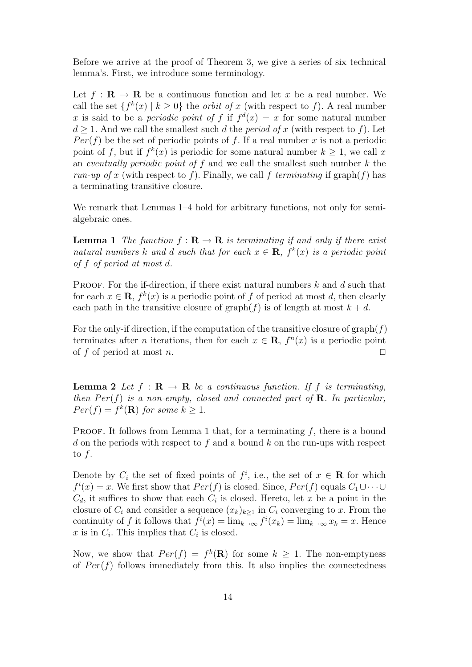Before we arrive at the proof of Theorem 3, we give a series of six technical lemma's. First, we introduce some terminology.

Let  $f : \mathbf{R} \to \mathbf{R}$  be a continuous function and let x be a real number. We call the set  $\{f^k(x) \mid k \geq 0\}$  the *orbit of x* (with respect to f). A real number x is said to be a *periodic point of* f if  $f^d(x) = x$  for some natural number  $d \geq 1$ . And we call the smallest such d the *period of x* (with respect to f). Let  $Per(f)$  be the set of periodic points of f. If a real number x is not a periodic point of f, but if  $f^k(x)$  is periodic for some natural number  $k \geq 1$ , we call x an eventually periodic point of f and we call the smallest such number  $k$  the run-up of x (with respect to f). Finally, we call f terminating if  $graph(f)$  has a terminating transitive closure.

We remark that Lemmas  $1-4$  hold for arbitrary functions, not only for semialgebraic ones.

**Lemma 1** The function  $f : \mathbf{R} \to \mathbf{R}$  is terminating if and only if there exist natural numbers k and d such that for each  $x \in \mathbf{R}$ ,  $f^k(x)$  is a periodic point of f of period at most d.

**PROOF.** For the if-direction, if there exist natural numbers  $k$  and  $d$  such that for each  $x \in \mathbf{R}$ ,  $f^k(x)$  is a periodic point of f of period at most d, then clearly each path in the transitive closure of graph(f) is of length at most  $k + d$ .

For the only-if direction, if the computation of the transitive closure of graph( $f$ ) terminates after *n* iterations, then for each  $x \in \mathbf{R}$ ,  $f^{n}(x)$  is a periodic point of f of period at most n.

**Lemma 2** Let  $f : \mathbf{R} \to \mathbf{R}$  be a continuous function. If f is terminating, then  $Per(f)$  is a non-empty, closed and connected part of **R**. In particular,  $Per(f) = f^k(\mathbf{R})$  for some  $k \geq 1$ .

**PROOF.** It follows from Lemma 1 that, for a terminating  $f$ , there is a bound d on the periods with respect to f and a bound k on the run-ups with respect to  $f$ .

Denote by  $C_i$  the set of fixed points of  $f^i$ , i.e., the set of  $x \in \mathbf{R}$  for which  $f^i(x) = x$ . We first show that  $Per(f)$  is closed. Since,  $Per(f)$  equals  $C_1 \cup \cdots \cup$  $C_d$ , it suffices to show that each  $C_i$  is closed. Hereto, let x be a point in the closure of  $C_i$  and consider a sequence  $(x_k)_{k\geq 1}$  in  $C_i$  converging to x. From the continuity of f it follows that  $f^{i}(x) = \lim_{k \to \infty} f^{i}(x_k) = \lim_{k \to \infty} x_k = x$ . Hence x is in  $C_i$ . This implies that  $C_i$  is closed.

Now, we show that  $Per(f) = f^k(\mathbf{R})$  for some  $k \geq 1$ . The non-emptyness of  $Per(f)$  follows immediately from this. It also implies the connectedness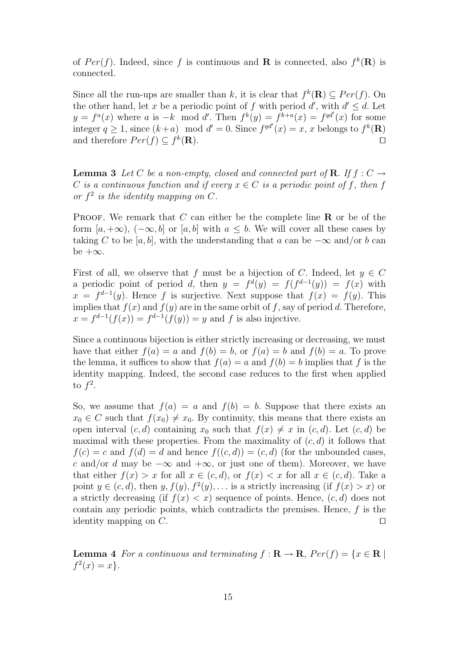of  $Per(f)$ . Indeed, since f is continuous and **R** is connected, also  $f^k(\mathbf{R})$  is connected.

Since all the run-ups are smaller than k, it is clear that  $f^k(\mathbf{R}) \subseteq Per(f)$ . On the other hand, let x be a periodic point of f with period d', with  $d' \leq d$ . Let  $y = f^a(x)$  where a is  $-k$  mod d'. Then  $f^k(y) = f^{k+a}(x) = f^{qd'}(x)$  for some integer  $q \ge 1$ , since  $(k+a) \mod d' = 0$ . Since  $f^{qd'}(x) = x$ , x belongs to  $f^k(\mathbf{R})$ and therefore  $Per(f) \subseteq f^k$  $(\mathbf{R})$ .

**Lemma 3** Let C be a non-empty, closed and connected part of **R**. If  $f: C \rightarrow$ C is a continuous function and if every  $x \in C$  is a periodic point of f, then f or  $f^2$  is the identity mapping on  $C$ .

**PROOF.** We remark that  $C$  can either be the complete line  $\bf{R}$  or be of the form  $[a, +\infty)$ ,  $(-\infty, b]$  or  $[a, b]$  with  $a \leq b$ . We will cover all these cases by taking C to be [a, b], with the understanding that a can be  $-\infty$  and/or b can be  $+\infty$ .

First of all, we observe that f must be a bijection of C. Indeed, let  $y \in C$ a periodic point of period d, then  $y = f^d(y) = f(f^{d-1}(y)) = f(x)$  with  $x = f^{d-1}(y)$ . Hence f is surjective. Next suppose that  $f(x) = f(y)$ . This implies that  $f(x)$  and  $f(y)$  are in the same orbit of f, say of period d. Therefore,  $x = f^{d-1}(f(x)) = f^{d-1}(f(y)) = y$  and f is also injective.

Since a continuous bijection is either strictly increasing or decreasing, we must have that either  $f(a) = a$  and  $f(b) = b$ , or  $f(a) = b$  and  $f(b) = a$ . To prove the lemma, it suffices to show that  $f(a) = a$  and  $f(b) = b$  implies that f is the identity mapping. Indeed, the second case reduces to the first when applied to  $f^2$ .

So, we assume that  $f(a) = a$  and  $f(b) = b$ . Suppose that there exists an  $x_0 \in C$  such that  $f(x_0) \neq x_0$ . By continuity, this means that there exists an open interval  $(c, d)$  containing  $x_0$  such that  $f(x) \neq x$  in  $(c, d)$ . Let  $(c, d)$  be maximal with these properties. From the maximality of  $(c, d)$  it follows that  $f(c) = c$  and  $f(d) = d$  and hence  $f((c, d)) = (c, d)$  (for the unbounded cases, c and/or d may be  $-\infty$  and  $+\infty$ , or just one of them). Moreover, we have that either  $f(x) > x$  for all  $x \in (c, d)$ , or  $f(x) < x$  for all  $x \in (c, d)$ . Take a point  $y \in (c, d)$ , then  $y, f(y), f^2(y), \ldots$  is a strictly increasing (if  $f(x) > x$ ) or a strictly decreasing (if  $f(x) < x$ ) sequence of points. Hence,  $(c, d)$  does not contain any periodic points, which contradicts the premises. Hence, f is the identity mapping on  $C$ .

**Lemma 4** For a continuous and terminating  $f : \mathbf{R} \to \mathbf{R}$ ,  $Per(f) = \{x \in \mathbf{R} \mid$  $f^{2}(x) = x$ .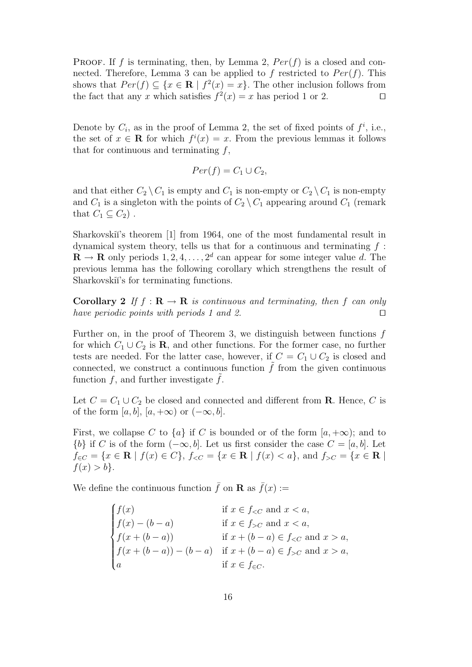PROOF. If f is terminating, then, by Lemma 2,  $Per(f)$  is a closed and connected. Therefore, Lemma 3 can be applied to f restricted to  $Per(f)$ . This shows that  $Per(f) \subseteq \{x \in \mathbf{R} \mid f^2(x) = x\}.$  The other inclusion follows from the fact that any x which satisfies  $f^2(x) = x$  has period 1 or 2.

Denote by  $C_i$ , as in the proof of Lemma 2, the set of fixed points of  $f^i$ , i.e., the set of  $x \in \mathbf{R}$  for which  $f^{i}(x) = x$ . From the previous lemmas it follows that for continuous and terminating  $f$ ,

$$
Per(f) = C_1 \cup C_2,
$$

and that either  $C_2 \setminus C_1$  is empty and  $C_1$  is non-empty or  $C_2 \setminus C_1$  is non-empty and  $C_1$  is a singleton with the points of  $C_2 \setminus C_1$  appearing around  $C_1$  (remark that  $C_1 \subseteq C_2$ .

Sharkovski<sup>'</sup>'s theorem [1] from 1964, one of the most fundamental result in dynamical system theory, tells us that for a continuous and terminating  $f$ :  $\mathbf{R} \to \mathbf{R}$  only periods  $1, 2, 4, \ldots, 2^d$  can appear for some integer value d. The previous lemma has the following corollary which strengthens the result of Sharkovski<sup>''</sup>s for terminating functions.

Corollary 2 If  $f : \mathbf{R} \to \mathbf{R}$  is continuous and terminating, then f can only have periodic points with periods 1 and 2.  $\Box$ 

Further on, in the proof of Theorem 3, we distinguish between functions  $f$ for which  $C_1 \cup C_2$  is **R**, and other functions. For the former case, no further tests are needed. For the latter case, however, if  $C = C_1 \cup C_2$  is closed and connected, we construct a continuous function  $\tilde{f}$  from the given continuous function  $f$ , and further investigate  $f$ .

Let  $C = C_1 \cup C_2$  be closed and connected and different from **R**. Hence, C is of the form  $[a, b]$ ,  $[a, +\infty)$  or  $(-\infty, b]$ .

First, we collapse C to  $\{a\}$  if C is bounded or of the form  $[a, +\infty)$ ; and to  ${b}$  if C is of the form  $(-\infty, b]$ . Let us first consider the case  $C = [a, b]$ . Let  $f_{\in C} = \{x \in \mathbf{R} \mid f(x) \in C\},\,f_{\leq C} = \{x \in \mathbf{R} \mid f(x) < a\},\,\text{and}\,\,f_{\geq C} = \{x \in \mathbf{R} \mid f(x) \in C\}$  $f(x) > b$ .

We define the continuous function  $\bar{f}$  on **R** as  $\bar{f}(x) :=$ 

$$
\begin{cases}\nf(x) & \text{if } x \in f_{< C} \text{ and } x < a, \\
f(x) - (b - a) & \text{if } x \in f_{> C} \text{ and } x < a, \\
f(x + (b - a)) & \text{if } x + (b - a) \in f_{< C} \text{ and } x > a, \\
f(x + (b - a)) - (b - a) & \text{if } x + (b - a) \in f_{> C} \text{ and } x > a, \\
a & \text{if } x \in f_{\in C}.\n\end{cases}
$$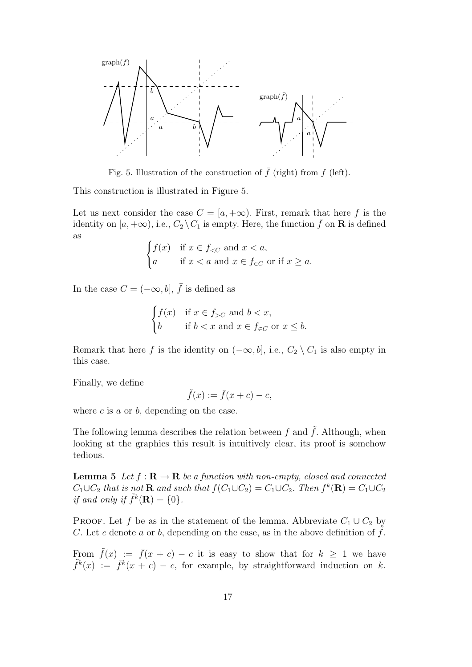

Fig. 5. Illustration of the construction of  $\bar{f}$  (right) from f (left).

This construction is illustrated in Figure 5.

Let us next consider the case  $C = [a, +\infty)$ . First, remark that here f is the identity on  $[a, +\infty)$ , i.e.,  $C_2 \setminus C_1$  is empty. Here, the function  $\bar{f}$  on **R** is defined as

$$
\begin{cases} f(x) & \text{if } x \in f_{< C} \text{ and } x < a, \\ a & \text{if } x < a \text{ and } x \in f_{\in C} \text{ or if } x \ge a. \end{cases}
$$

In the case  $C = (-\infty, b], \bar{f}$  is defined as

$$
\begin{cases} f(x) & \text{if } x \in f_{>C} \text{ and } b < x, \\ b & \text{if } b < x \text{ and } x \in f_{\in C} \text{ or } x \le b. \end{cases}
$$

Remark that here f is the identity on  $(-\infty, b]$ , i.e.,  $C_2 \setminus C_1$  is also empty in this case.

Finally, we define

$$
\tilde{f}(x) := \bar{f}(x+c) - c,
$$

where  $c$  is  $a$  or  $b$ , depending on the case.

The following lemma describes the relation between f and  $\tilde{f}$ . Although, when looking at the graphics this result is intuitively clear, its proof is somehow tedious.

**Lemma 5** Let  $f : \mathbf{R} \to \mathbf{R}$  be a function with non-empty, closed and connected  $C_1 \cup C_2$  that is not **R** and such that  $f(C_1 \cup C_2) = C_1 \cup C_2$ . Then  $f^k(\mathbf{R}) = C_1 \cup C_2$ if and only if  $\tilde{f}^k(\mathbf{R}) = \{0\}.$ 

PROOF. Let f be as in the statement of the lemma. Abbreviate  $C_1 \cup C_2$  by C. Let c denote a or b, depending on the case, as in the above definition of  $f$ .

From  $\tilde{f}(x) := \bar{f}(x+c) - c$  it is easy to show that for  $k \geq 1$  we have  $\tilde{f}^k(x) := \overline{f}^k(x+c) - c$ , for example, by straightforward induction on k.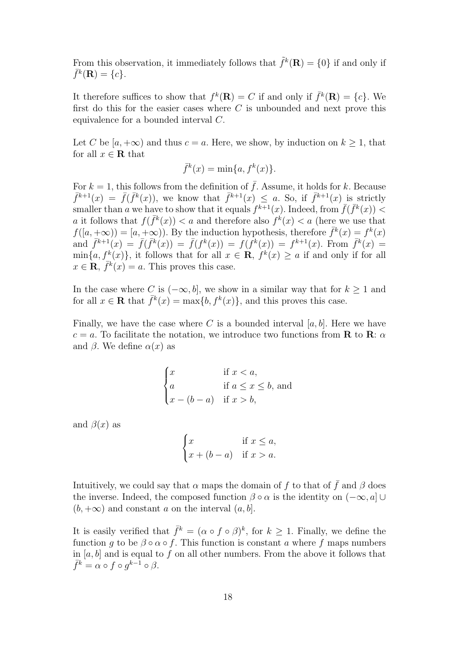From this observation, it immediately follows that  $\tilde{f}^k(\mathbf{R}) = \{0\}$  if and only if  $\bar{f}^k(\mathbf{R}) = \{c\}.$ 

It therefore suffices to show that  $f^k(\mathbf{R}) = C$  if and only if  $\bar{f}^k(\mathbf{R}) = \{c\}$ . We first do this for the easier cases where  $C$  is unbounded and next prove this equivalence for a bounded interval C.

Let C be  $[a, +\infty)$  and thus  $c = a$ . Here, we show, by induction on  $k \geq 1$ , that for all  $x \in \mathbf{R}$  that

$$
\bar{f}^k(x) = \min\{a, f^k(x)\}.
$$

For  $k = 1$ , this follows from the definition of  $\bar{f}$ . Assume, it holds for k. Because  $\bar{f}^{k+1}(x) = \bar{f}(\bar{f}^k(x))$ , we know that  $\bar{f}^{k+1}(x) \leq a$ . So, if  $\bar{f}^{k+1}(x)$  is strictly smaller than a we have to show that it equals  $f^{k+1}(x)$ . Indeed, from  $\bar{f}(\bar{f}^k(x))$  < a it follows that  $f(\bar{f}^k(x)) < a$  and therefore also  $f^k(x) < a$  (here we use that  $f([a, +\infty)) = [a, +\infty)$ . By the induction hypothesis, therefore  $\bar{f}^k(x) = f^k(x)$ and  $\bar{f}^{k+1}(x) = \bar{f}(\bar{f}^k(x)) = \bar{f}(f^k(x)) = f(f^k(x)) = f^{k+1}(x)$ . From  $\bar{f}^k(x) =$  $\min\{a, f^k(x)\}\$ , it follows that for all  $x \in \mathbf{R}$ ,  $f^k(x) \ge a$  if and only if for all  $x \in \mathbf{R}, \bar{f}^k(x) = a$ . This proves this case.

In the case where C is  $(-\infty, b]$ , we show in a similar way that for  $k \geq 1$  and for all  $x \in \mathbf{R}$  that  $\bar{f}^k(x) = \max\{b, f^k(x)\}\text{, and this proves this case.}$ 

Finally, we have the case where C is a bounded interval  $[a, b]$ . Here we have  $c = a$ . To facilitate the notation, we introduce two functions from **R** to **R**:  $\alpha$ and  $\beta$ . We define  $\alpha(x)$  as

$$
\begin{cases}\n x & \text{if } x < a, \\
 a & \text{if } a \leq x \leq b, \text{ and} \\
 x - (b - a) & \text{if } x > b,\n\end{cases}
$$

and  $\beta(x)$  as

$$
\begin{cases} x & \text{if } x \le a, \\ x + (b - a) & \text{if } x > a. \end{cases}
$$

Intuitively, we could say that  $\alpha$  maps the domain of f to that of  $\bar{f}$  and  $\beta$  does the inverse. Indeed, the composed function  $\beta \circ \alpha$  is the identity on  $(-\infty, a]$  $(b, +\infty)$  and constant a on the interval  $(a, b]$ .

It is easily verified that  $\bar{f}^k = (\alpha \circ f \circ \beta)^k$ , for  $k \geq 1$ . Finally, we define the function g to be  $\beta \circ \alpha \circ f$ . This function is constant a where f maps numbers in  $[a, b]$  and is equal to f on all other numbers. From the above it follows that  $\bar{f}^k = \alpha \circ f \circ g^{k-1} \circ \beta.$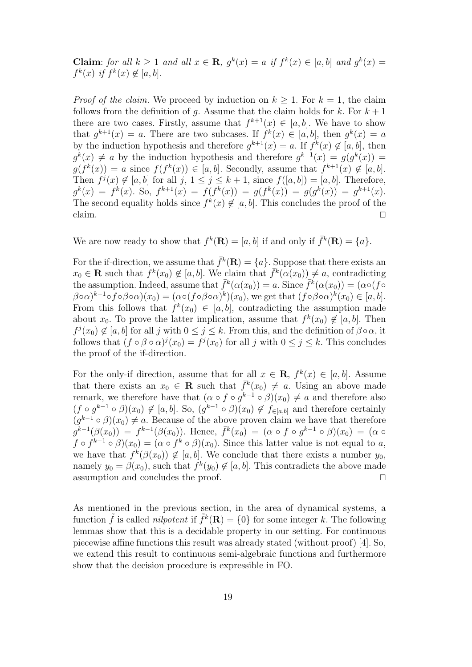Claim: for all  $k \ge 1$  and all  $x \in \mathbf{R}$ ,  $g^k(x) = a$  if  $f^k(x) \in [a, b]$  and  $g^k(x) = a$  $f^k(x)$  if  $f^k(x) \notin [a, b]$ .

*Proof of the claim.* We proceed by induction on  $k \geq 1$ . For  $k = 1$ , the claim follows from the definition of g. Assume that the claim holds for k. For  $k + 1$ there are two cases. Firstly, assume that  $f^{k+1}(x) \in [a, b]$ . We have to show that  $g^{k+1}(x) = a$ . There are two subcases. If  $f^k(x) \in [a, b]$ , then  $g^k(x) = a$ by the induction hypothesis and therefore  $g^{k+1}(x) = a$ . If  $f^k(x) \notin [a, b]$ , then  $g^{k}(x) \neq a$  by the induction hypothesis and therefore  $g^{k+1}(x) = g(g^{k}(x)) =$  $g(f^k(x)) = a$  since  $f(f^k(x)) \in [a, b]$ . Secondly, assume that  $f^{k+1}(x) \notin [a, b]$ . Then  $f^j(x) \notin [a, b]$  for all  $j, 1 \leq j \leq k+1$ , since  $f([a, b]) = [a, b]$ . Therefore,  $g^k(x) = f^k(x)$ . So,  $f^{k+1}(x) = f(f^k(x)) = g(f^k(x)) = g(g^k(x)) = g^{k+1}(x)$ . The second equality holds since  $f^k(x) \notin [a, b]$ . This concludes the proof of the claim.  $\square$ 

We are now ready to show that  $f^k(\mathbf{R}) = [a, b]$  if and only if  $\bar{f}^k(\mathbf{R}) = \{a\}.$ 

For the if-direction, we assume that  $\bar{f}^k(\mathbf{R}) = \{a\}$ . Suppose that there exists an  $x_0 \in \mathbf{R}$  such that  $f^k(x_0) \notin [a, b]$ . We claim that  $\bar{f}^k(\alpha(x_0)) \neq a$ , contradicting the assumption. Indeed, assume that  $\bar{f}^k(\alpha(x_0)) = a$ . Since  $\bar{f}^k(\alpha(x_0)) = (\alpha \circ (f \circ$  $(\beta \circ \alpha)^{k-1} \circ f \circ \beta \circ \alpha)(x_0) = (\alpha \circ (f \circ \beta \circ \alpha)^k)(x_0)$ , we get that  $(f \circ \beta \circ \alpha)^k(x_0) \in [a, b]$ . From this follows that  $f^k(x_0) \in [a, b]$ , contradicting the assumption made about  $x_0$ . To prove the latter implication, assume that  $f^k(x_0) \notin [a, b]$ . Then  $f^j(x_0) \notin [a, b]$  for all j with  $0 \leq j \leq k$ . From this, and the definition of  $\beta \circ \alpha$ , it follows that  $(f \circ \beta \circ \alpha)^j(x_0) = f^j(x_0)$  for all j with  $0 \le j \le k$ . This concludes the proof of the if-direction.

For the only-if direction, assume that for all  $x \in \mathbf{R}$ ,  $f^k(x) \in [a, b]$ . Assume that there exists an  $x_0 \in \mathbf{R}$  such that  $\bar{f}^k(x_0) \neq a$ . Using an above made remark, we therefore have that  $(\alpha \circ f \circ g^{k-1} \circ \beta)(x_0) \neq a$  and therefore also  $(f \circ g^{k-1} \circ \beta)(x_0) \notin [a, b]$ . So,  $(g^{k-1} \circ \beta)(x_0) \notin f_{\in [a, b]}$  and therefore certainly  $(g^{k-1} \circ \beta)(x_0) \neq a$ . Because of the above proven claim we have that therefore  $g^{k-1}(\beta(x_0)) = f^{k-1}(\beta(x_0))$ . Hence,  $\bar{f}^k(x_0) = (\alpha \circ f \circ g^{k-1} \circ \beta)(x_0) = (\alpha \circ f)$  $f \circ f^{k-1} \circ \beta(x_0) = (\alpha \circ f^k \circ \beta)(x_0)$ . Since this latter value is not equal to a, we have that  $f^k(\beta(x_0)) \notin [a, b]$ . We conclude that there exists a number  $y_0$ , namely  $y_0 = \beta(x_0)$ , such that  $f^k(y_0) \notin [a, b]$ . This contradicts the above made assumption and concludes the proof.  $\Box$ 

As mentioned in the previous section, in the area of dynamical systems, a function  $\tilde{f}$  is called *nilpotent* if  $\tilde{f}^k(\mathbf{R}) = \{0\}$  for some integer k. The following lemmas show that this is a decidable property in our setting. For continuous piecewise affine functions this result was already stated (without proof) [4]. So, we extend this result to continuous semi-algebraic functions and furthermore show that the decision procedure is expressible in FO.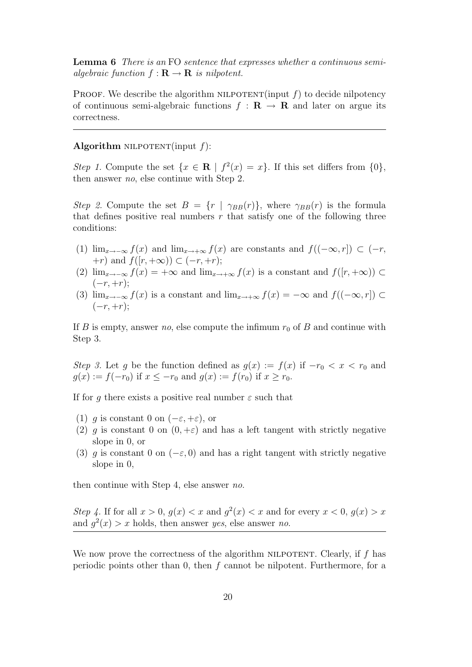Lemma 6 There is an FO sentence that expresses whether a continuous semialgebraic function  $f : \mathbf{R} \to \mathbf{R}$  is nilpotent.

PROOF. We describe the algorithm NILPOTENT(input  $f$ ) to decide nilpotency of continuous semi-algebraic functions  $f : \mathbf{R} \to \mathbf{R}$  and later on argue its correctness.

#### Algorithm NILPOTENT(input  $f$ ):

Step 1. Compute the set  $\{x \in \mathbf{R} \mid f^2(x) = x\}$ . If this set differs from  $\{0\}$ , then answer no, else continue with Step 2.

Step 2. Compute the set  $B = \{r \mid \gamma_{BB}(r)\}\,$ , where  $\gamma_{BB}(r)$  is the formula that defines positive real numbers  $r$  that satisfy one of the following three conditions:

- (1)  $\lim_{x\to-\infty} f(x)$  and  $\lim_{x\to+\infty} f(x)$  are constants and  $f((-\infty,r]) \subset (-r,$  $+r)$  and  $f([r, +\infty)) \subset (-r, +r);$
- (2)  $\lim_{x\to-\infty} f(x) = +\infty$  and  $\lim_{x\to+\infty} f(x)$  is a constant and  $f([r,+\infty)) \subset$  $(-r, +r);$
- (3)  $\lim_{x\to-\infty}$  f(x) is a constant and  $\lim_{x\to+\infty}$  f(x) = - $\infty$  and f((- $\infty$ , r)) ⊂  $(-r, +r);$

If B is empty, answer no, else compute the infimum  $r_0$  of B and continue with Step 3.

Step 3. Let g be the function defined as  $g(x) := f(x)$  if  $-r_0 < x < r_0$  and  $g(x) := f(-r_0)$  if  $x \leq -r_0$  and  $g(x) := f(r_0)$  if  $x \geq r_0$ .

If for q there exists a positive real number  $\varepsilon$  such that

- (1) g is constant 0 on  $(-\varepsilon, +\varepsilon)$ , or
- (2) q is constant 0 on  $(0, +\varepsilon)$  and has a left tangent with strictly negative slope in 0, or
- (3) q is constant 0 on ( $-\varepsilon$ , 0) and has a right tangent with strictly negative slope in 0,

then continue with Step 4, else answer no.

Step 4. If for all  $x > 0$ ,  $g(x) < x$  and  $g<sup>2</sup>(x) < x$  and for every  $x < 0$ ,  $g(x) > x$ and  $g^2(x) > x$  holds, then answer yes, else answer no.

We now prove the correctness of the algorithm NILPOTENT. Clearly, if  $f$  has periodic points other than 0, then f cannot be nilpotent. Furthermore, for a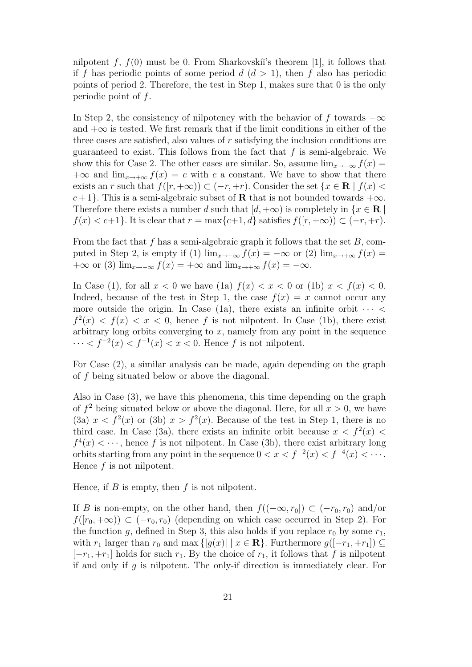nilpotent f,  $f(0)$  must be 0. From Sharkovskiı's theorem [1], it follows that if f has periodic points of some period  $d (d > 1)$ , then f also has periodic points of period 2. Therefore, the test in Step 1, makes sure that 0 is the only periodic point of  $f$ .

In Step 2, the consistency of nilpotency with the behavior of f towards  $-\infty$ and  $+\infty$  is tested. We first remark that if the limit conditions in either of the three cases are satisfied, also values of r satisfying the inclusion conditions are guaranteed to exist. This follows from the fact that  $f$  is semi-algebraic. We show this for Case 2. The other cases are similar. So, assume  $\lim_{x\to-\infty} f(x) =$  $+\infty$  and  $\lim_{x\to+\infty} f(x) = c$  with c a constant. We have to show that there exists an r such that  $f([r, +\infty)) \subset (-r, +r)$ . Consider the set  $\{x \in \mathbb{R} \mid f(x)$  $c+1$ . This is a semi-algebraic subset of **R** that is not bounded towards  $+\infty$ . Therefore there exists a number d such that  $[d, +\infty)$  is completely in  $\{x \in \mathbb{R} \mid \mathbb{R}\}$  $f(x) < c+1$ . It is clear that  $r = \max\{c+1, d\}$  satisfies  $f([r, +\infty)) \subset (-r, +r)$ .

From the fact that f has a semi-algebraic graph it follows that the set  $B$ , computed in Step 2, is empty if (1)  $\lim_{x\to-\infty} f(x) = -\infty$  or (2)  $\lim_{x\to+\infty} f(x) =$  $+\infty$  or (3) lim<sub>x→−∞</sub>  $f(x) = +\infty$  and lim<sub>x→+∞</sub>  $f(x) = -\infty$ .

In Case (1), for all  $x < 0$  we have (1a)  $f(x) < x < 0$  or (1b)  $x < f(x) < 0$ . Indeed, because of the test in Step 1, the case  $f(x) = x$  cannot occur any more outside the origin. In Case (1a), there exists an infinite orbit  $\cdots$  $f^{2}(x) < f(x) < x < 0$ , hence f is not nilpotent. In Case (1b), there exist arbitrary long orbits converging to  $x$ , namely from any point in the sequence  $\cdots < f^{-2}(x) < f^{-1}(x) < x < 0$ . Hence f is not nilpotent.

For Case (2), a similar analysis can be made, again depending on the graph of f being situated below or above the diagonal.

Also in Case (3), we have this phenomena, this time depending on the graph of  $f^2$  being situated below or above the diagonal. Here, for all  $x > 0$ , we have (3a)  $x < f<sup>2</sup>(x)$  or (3b)  $x > f<sup>2</sup>(x)$ . Because of the test in Step 1, there is no third case. In Case (3a), there exists an infinite orbit because  $x < f<sup>2</sup>(x)$  $f^4(x) < \cdots$ , hence f is not nilpotent. In Case (3b), there exist arbitrary long orbits starting from any point in the sequence  $0 < x < f^{-2}(x) < f^{-4}(x) < \cdots$ . Hence f is not nilpotent.

Hence, if  $B$  is empty, then  $f$  is not nilpotent.

If B is non-empty, on the other hand, then  $f((-\infty, r_0]) \subset (-r_0, r_0)$  and/or  $f([r_0, +\infty)) \subset (-r_0, r_0)$  (depending on which case occurred in Step 2). For the function g, defined in Step 3, this also holds if you replace  $r_0$  by some  $r_1$ , with  $r_1$  larger than  $r_0$  and max  $\{|g(x)| \mid x \in \mathbf{R}\}\$ . Furthermore  $g([-r_1, +r_1]) \subseteq$  $[-r_1, +r_1]$  holds for such  $r_1$ . By the choice of  $r_1$ , it follows that f is nilpotent if and only if  $g$  is nilpotent. The only-if direction is immediately clear. For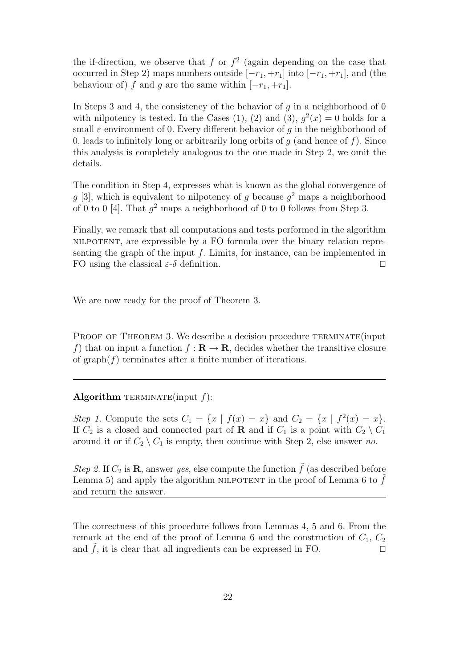the if-direction, we observe that f or  $f^2$  (again depending on the case that occurred in Step 2) maps numbers outside  $[-r_1, +r_1]$  into  $[-r_1, +r_1]$ , and (the behaviour of) f and g are the same within  $[-r_1, +r_1]$ .

In Steps 3 and 4, the consistency of the behavior of q in a neighborhood of 0 with nilpotency is tested. In the Cases (1), (2) and (3),  $g^2(x) = 0$  holds for a small  $\varepsilon$ -environment of 0. Every different behavior of q in the neighborhood of 0, leads to infinitely long or arbitrarily long orbits of  $g$  (and hence of  $f$ ). Since this analysis is completely analogous to the one made in Step 2, we omit the details.

The condition in Step 4, expresses what is known as the global convergence of  $g$  [3], which is equivalent to nilpotency of g because  $g^2$  maps a neighborhood of 0 to 0 [4]. That  $g^2$  maps a neighborhood of 0 to 0 follows from Step 3.

Finally, we remark that all computations and tests performed in the algorithm nilpotent, are expressible by a FO formula over the binary relation representing the graph of the input  $f$ . Limits, for instance, can be implemented in FO using the classical  $\varepsilon$ -δ definition.  $\square$ 

We are now ready for the proof of Theorem 3.

PROOF OF THEOREM 3. We describe a decision procedure TERMINATE (input f) that on input a function  $f : \mathbf{R} \to \mathbf{R}$ , decides whether the transitive closure of graph $(f)$  terminates after a finite number of iterations.

# Algorithm TERMINATE(input  $f$ ):

Step 1. Compute the sets  $C_1 = \{x \mid f(x) = x\}$  and  $C_2 = \{x \mid f^2(x) = x\}.$ If  $C_2$  is a closed and connected part of **R** and if  $C_1$  is a point with  $C_2 \setminus C_1$ around it or if  $C_2 \setminus C_1$  is empty, then continue with Step 2, else answer no.

Step 2. If  $C_2$  is **R**, answer yes, else compute the function  $\tilde{f}$  (as described before Lemma 5) and apply the algorithm NILPOTENT in the proof of Lemma 6 to  $f$ and return the answer.

The correctness of this procedure follows from Lemmas 4, 5 and 6. From the remark at the end of the proof of Lemma 6 and the construction of  $C_1, C_2$ and  $f$ , it is clear that all ingredients can be expressed in FO.  $\Box$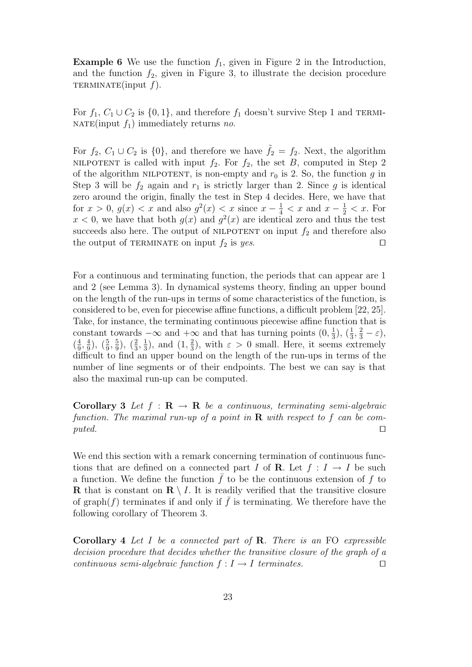**Example 6** We use the function  $f_1$ , given in Figure 2 in the Introduction, and the function  $f_2$ , given in Figure 3, to illustrate the decision procedure TERMINATE(input  $f$ ).

For  $f_1, C_1 \cup C_2$  is  $\{0, 1\}$ , and therefore  $f_1$  doesn't survive Step 1 and TERMI-NATE(input  $f_1$ ) immediately returns no.

For  $f_2$ ,  $C_1 \cup C_2$  is  $\{0\}$ , and therefore we have  $f_2 = f_2$ . Next, the algorithm NILPOTENT is called with input  $f_2$ . For  $f_2$ , the set B, computed in Step 2 of the algorithm NILPOTENT, is non-empty and  $r_0$  is 2. So, the function g in Step 3 will be  $f_2$  again and  $r_1$  is strictly larger than 2. Since g is identical zero around the origin, finally the test in Step 4 decides. Here, we have that for  $x > 0$ ,  $g(x) < x$  and also  $g^2(x) < x$  since  $x - \frac{1}{4} < x$  and  $x - \frac{1}{2} < x$ . For  $x < 0$ , we have that both  $g(x)$  and  $g<sup>2</sup>(x)$  are identical zero and thus the test succeeds also here. The output of NILPOTENT on input  $f_2$  and therefore also the output of TERMINATE on input  $f_2$  is yes.

For a continuous and terminating function, the periods that can appear are 1 and 2 (see Lemma 3). In dynamical systems theory, finding an upper bound on the length of the run-ups in terms of some characteristics of the function, is considered to be, even for piecewise affine functions, a difficult problem [22, 25]. Take, for instance, the terminating continuous piecewise affine function that is constant towards  $-\infty$  and  $+\infty$  and that has turning points  $(0, \frac{1}{3})$  $(\frac{1}{3}, \frac{2}{3} - \varepsilon),$  $\left(\frac{4}{9}\right)$  $\frac{4}{9}, \frac{4}{9}$  $\frac{4}{9}$ ),  $\left(\frac{5}{9}, \frac{5}{9}\right)$  $(\frac{5}{9}), (\frac{2}{3}, \frac{1}{3})$  $(\frac{1}{3}), \text{ and } (1, \frac{2}{3})$  $(\frac{2}{3})$ , with  $\varepsilon > 0$  small. Here, it seems extremely difficult to find an upper bound on the length of the run-ups in terms of the number of line segments or of their endpoints. The best we can say is that also the maximal run-up can be computed.

**Corollary 3** Let  $f : \mathbf{R} \to \mathbf{R}$  be a continuous, terminating semi-algebraic function. The maximal run-up of a point in  $\bf{R}$  with respect to f can be com $puted.$ 

We end this section with a remark concerning termination of continuous functions that are defined on a connected part I of **R**. Let  $f: I \rightarrow I$  be such a function. We define the function  $\bar{f}$  to be the continuous extension of f to **R** that is constant on  $\mathbf{R} \setminus I$ . It is readily verified that the transitive closure of graph(f) terminates if and only if  $\bar{f}$  is terminating. We therefore have the following corollary of Theorem 3.

**Corollary 4** Let I be a connected part of  $\bf{R}$ . There is an  $\bf{FO}$  expressible decision procedure that decides whether the transitive closure of the graph of a continuous semi-algebraic function  $f: I \to I$  terminates.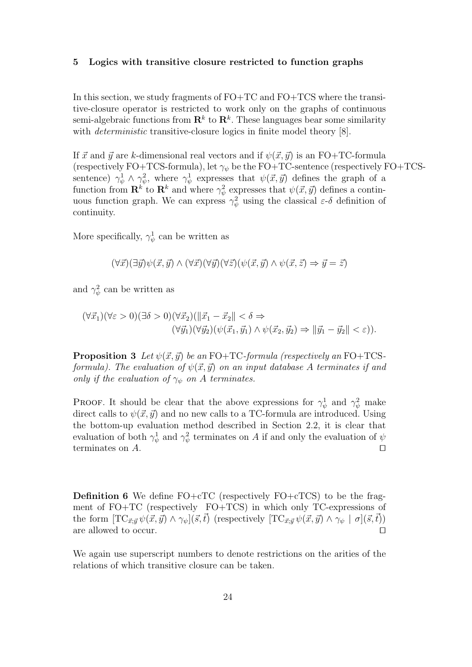#### 5 Logics with transitive closure restricted to function graphs

In this section, we study fragments of FO+TC and FO+TCS where the transitive-closure operator is restricted to work only on the graphs of continuous semi-algebraic functions from  $\mathbf{R}^k$  to  $\mathbf{R}^k$ . These languages bear some similarity with *deterministic* transitive-closure logics in finite model theory [8].

If  $\vec{x}$  and  $\vec{y}$  are k-dimensional real vectors and if  $\psi(\vec{x}, \vec{y})$  is an FO+TC-formula (respectively FO+TCS-formula), let  $\gamma_{\psi}$  be the FO+TC-sentence (respectively FO+TCSsentence)  $\gamma^1_\psi \wedge \gamma^2_\psi$ , where  $\gamma^1_\psi$  expresses that  $\psi(\vec{x}, \vec{y})$  defines the graph of a function from  $\mathbf{R}^k$  to  $\mathbf{R}^k$  and where  $\gamma^2_{\psi}$  expresses that  $\psi(\vec{x}, \vec{y})$  defines a continuous function graph. We can express  $\gamma_{\psi}^2$  using the classical  $\varepsilon$ -δ definition of continuity.

More specifically,  $\gamma_{\psi}^{1}$  can be written as

 $(\forall \vec{x})(\exists \vec{y})\psi(\vec{x}, \vec{y}) \wedge (\forall \vec{x})(\forall \vec{y})(\forall \vec{z})(\psi(\vec{x}, \vec{y}) \wedge \psi(\vec{x}, \vec{z}) \Rightarrow \vec{y} = \vec{z})$ 

and  $\gamma_{\psi}^2$  can be written as

$$
(\forall \vec{x}_1)(\forall \varepsilon > 0)(\exists \delta > 0)(\forall \vec{x}_2)(\|\vec{x}_1 - \vec{x}_2\| < \delta \Rightarrow (\forall \vec{y}_1)(\forall \vec{y}_2)(\psi(\vec{x}_1, \vec{y}_1) \land \psi(\vec{x}_2, \vec{y}_2) \Rightarrow \|\vec{y}_1 - \vec{y}_2\| < \varepsilon)).
$$

**Proposition 3** Let  $\psi(\vec{x}, \vec{y})$  be an FO+TC-formula (respectively an FO+TCSformula). The evaluation of  $\psi(\vec{x}, \vec{y})$  on an input database A terminates if and only if the evaluation of  $\gamma_{\psi}$  on A terminates.

**PROOF.** It should be clear that the above expressions for  $\gamma^1_\psi$  and  $\gamma^2_\psi$  make direct calls to  $\psi(\vec{x}, \vec{y})$  and no new calls to a TC-formula are introduced. Using the bottom-up evaluation method described in Section 2.2, it is clear that evaluation of both  $\gamma^1_\psi$  and  $\gamma^2_\psi$  terminates on A if and only the evaluation of  $\psi$ terminates on  $A$ .

**Definition 6** We define  $FO + cTC$  (respectively  $FO + cTCS$ ) to be the fragment of FO+TC (respectively FO+TCS) in which only TC-expressions of the form  $[\text{TC}_{\vec{x};\vec{y}}\psi(\vec{x},\vec{y}) \wedge \gamma_{\psi}](\vec{s},\vec{t})$  (respectively  $[\text{TC}_{\vec{x};\vec{y}}\psi(\vec{x},\vec{y}) \wedge \gamma_{\psi} | \sigma](\vec{s},\vec{t})$ ) are allowed to occur.  $\Box$ 

We again use superscript numbers to denote restrictions on the arities of the relations of which transitive closure can be taken.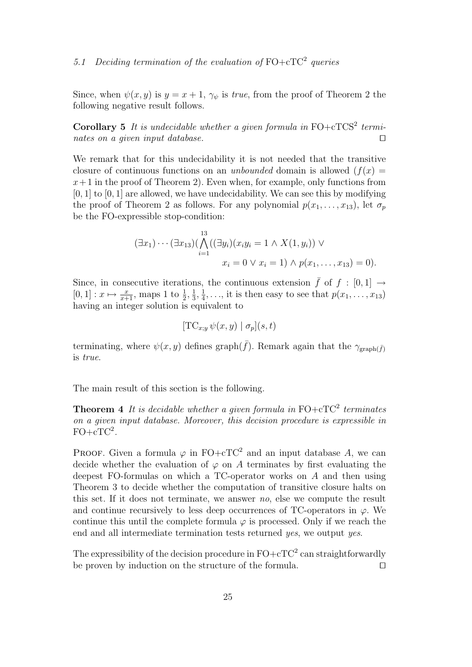Since, when  $\psi(x, y)$  is  $y = x + 1$ ,  $\gamma_{\psi}$  is *true*, from the proof of Theorem 2 the following negative result follows.

**Corollary 5** It is undecidable whether a given formula in  $FO + cTCS<sup>2</sup>$  terminates on a given input database.  $\square$ 

We remark that for this undecidability it is not needed that the transitive closure of continuous functions on an *unbounded* domain is allowed  $(f(x))$  $x+1$  in the proof of Theorem 2). Even when, for example, only functions from  $[0, 1]$  to  $[0, 1]$  are allowed, we have undecidability. We can see this by modifying the proof of Theorem 2 as follows. For any polynomial  $p(x_1, \ldots, x_{13})$ , let  $\sigma_p$ be the FO-expressible stop-condition:

$$
(\exists x_1) \cdots (\exists x_{13}) (\bigwedge_{i=1}^{13} ((\exists y_i)(x_i y_i = 1 \land X(1, y_i)) \lor x_i = 0 \lor x_i = 1) \land p(x_1, \ldots, x_{13}) = 0).
$$

Since, in consecutive iterations, the continuous extension  $\bar{f}$  of  $f : [0,1] \rightarrow$  $[0, 1] : x \mapsto \frac{x}{x+1}$ , maps 1 to  $\frac{1}{2}, \frac{1}{3}$  $\frac{1}{3}, \frac{1}{4}$  $\frac{1}{4}, \ldots$ , it is then easy to see that  $p(x_1, \ldots, x_{13})$ having an integer solution is equivalent to

$$
[\text{TC}_{x,y} \,\psi(x,y) \mid \sigma_p](s,t)
$$

terminating, where  $\psi(x, y)$  defines graph( $\bar{f}$ ). Remark again that the  $\gamma_{\text{graph}(\bar{f})}$ is true.

The main result of this section is the following.

**Theorem 4** It is decidable whether a given formula in  $FO + cTC^2$  terminates on a given input database. Moreover, this decision procedure is expressible in  $\text{FO}+\text{cTC}^2$ .

PROOF. Given a formula  $\varphi$  in FO+cTC<sup>2</sup> and an input database A, we can decide whether the evaluation of  $\varphi$  on A terminates by first evaluating the deepest FO-formulas on which a TC-operator works on A and then using Theorem 3 to decide whether the computation of transitive closure halts on this set. If it does not terminate, we answer no, else we compute the result and continue recursively to less deep occurrences of TC-operators in  $\varphi$ . We continue this until the complete formula  $\varphi$  is processed. Only if we reach the end and all intermediate termination tests returned yes, we output yes.

The expressibility of the decision procedure in  $\mathrm{FO}+\mathrm{cTC}^2$  can straightforwardly be proven by induction on the structure of the formula.  $\Box$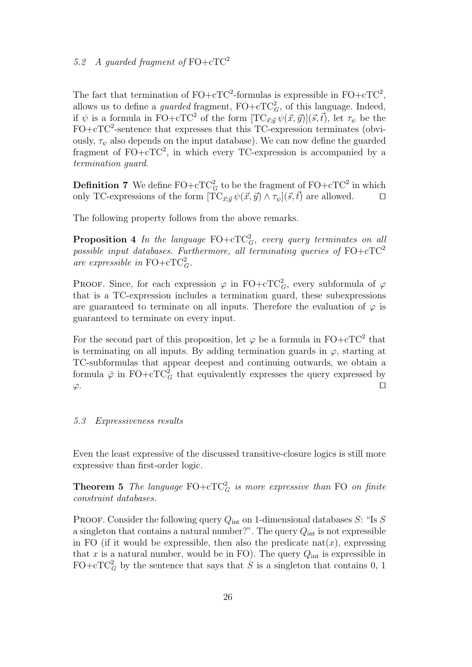The fact that termination of  $FO + cTC^2$ -formulas is expressible in  $FO + cTC^2$ , allows us to define a *guarded* fragment,  $FO + cTC_G^2$ , of this language. Indeed, if  $\psi$  is a formula in FO+cTC<sup>2</sup> of the form  $[TC_{\vec{x};\vec{y}}\psi(\vec{x},\vec{y})](\vec{s},\vec{t})$ , let  $\tau_{\psi}$  be the  $FO + cTC^2$ -sentence that expresses that this TC-expression terminates (obviously,  $\tau_{\psi}$  also depends on the input database). We can now define the guarded fragment of  $FO + cTC^2$ , in which every TC-expression is accompanied by a termination guard.

**Definition 7** We define  $\text{FO}+\text{cTC}_G^2$  to be the fragment of  $\text{FO}+\text{cTC}^2$  in which only TC-expressions of the form  $[\tilde{TC}_{\vec{x}:\vec{y}} \psi(\vec{x},\vec{y}) \wedge \tau_{\psi}](\vec{s},\vec{t})$  are allowed.  $\square$ 

The following property follows from the above remarks.

**Proposition 4** In the language  $\text{FO}+\text{cTC}_G^2$ , every query terminates on all possible input databases. Furthermore, all terminating queries of  $FO + cTC^2$ are expressible in FO+cTC<sup>2</sup><sub>G</sub>.

PROOF. Since, for each expression  $\varphi$  in FO+cTC<sup>2</sup><sub>*G*</sub>, every subformula of  $\varphi$ that is a TC-expression includes a termination guard, these subexpressions are guaranteed to terminate on all inputs. Therefore the evaluation of  $\varphi$  is guaranteed to terminate on every input.

For the second part of this proposition, let  $\varphi$  be a formula in FO+cTC<sup>2</sup> that is terminating on all inputs. By adding termination guards in  $\varphi$ , starting at TC-subformulas that appear deepest and continuing outwards, we obtain a formula  $\bar{\varphi}$  in FO+cTC<sup>2</sup><sub>G</sub> that equivalently expresses the query expressed by  $\varphi$ .

# 5.3 Expressiveness results

Even the least expressive of the discussed transitive-closure logics is still more expressive than first-order logic.

**Theorem 5** The language  $FO + cTC_G^2$  is more expressive than FO on finite constraint databases.

PROOF. Consider the following query  $Q_{\text{int}}$  on 1-dimensional databases S: "Is S a singleton that contains a natural number?". The query  $Q_{\text{int}}$  is not expressible in FO (if it would be expressible, then also the predicate nat $(x)$ , expressing that x is a natural number, would be in FO). The query  $Q_{\text{int}}$  is expressible in  $FO + cTC_G^2$  by the sentence that says that S is a singleton that contains 0, 1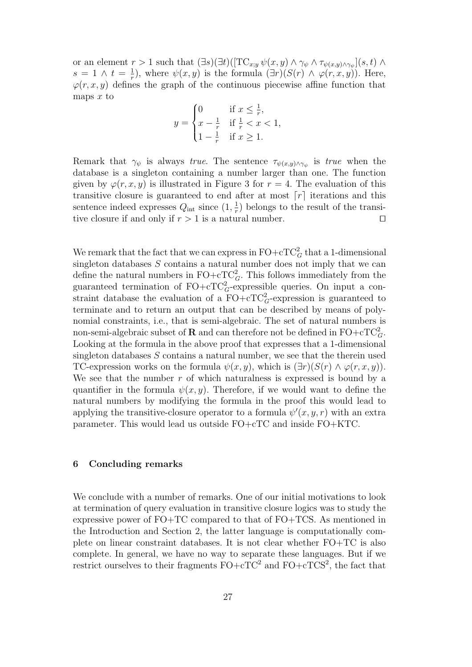or an element  $r > 1$  such that  $(\exists s)(\exists t)([\text{TC}_{x,y} \psi(x,y) \wedge \gamma_{\psi} \wedge \tau_{\psi(x,y) \wedge \gamma_{\psi}}](s,t) \wedge$  $s = 1 \wedge t = \frac{1}{r}$  $(\frac{1}{r})$ , where  $\psi(x, y)$  is the formula  $(\exists r)(S(r) \land \varphi(r, x, y))$ . Here,  $\varphi(r, x, y)$  defines the graph of the continuous piecewise affine function that maps  $x$  to

$$
y = \begin{cases} 0 & \text{if } x \leq \frac{1}{r}, \\ x - \frac{1}{r} & \text{if } \frac{1}{r} < x < 1, \\ 1 - \frac{1}{r} & \text{if } x \geq 1. \end{cases}
$$

Remark that  $\gamma_{\psi}$  is always true. The sentence  $\tau_{\psi(x,y)\wedge \gamma_{\psi}}$  is true when the database is a singleton containing a number larger than one. The function given by  $\varphi(r, x, y)$  is illustrated in Figure 3 for  $r = 4$ . The evaluation of this transitive closure is guaranteed to end after at most  $\lceil r \rceil$  iterations and this sentence indeed expresses  $Q_{\text{int}}$  since  $(1, \frac{1}{r})$  $\frac{1}{r}$ ) belongs to the result of the transitive closure if and only if  $r > 1$  is a natural number.

We remark that the fact that we can express in  $\text{FO}+\text{cTC}_G^2$  that a 1-dimensional singleton databases  $S$  contains a natural number does not imply that we can define the natural numbers in  $\text{FO}+\text{cTC}_G^2$ . This follows immediately from the guaranteed termination of  $FO + cTC_G^2$ -expressible queries. On input a constraint database the evaluation of a  $\text{FO}+\text{cTC}_G^2$ -expression is guaranteed to terminate and to return an output that can be described by means of polynomial constraints, i.e., that is semi-algebraic. The set of natural numbers is non-semi-algebraic subset of  $\bf R$  and can therefore not be defined in  $\rm FO+\rm cTC^2_G$ . Looking at the formula in the above proof that expresses that a 1-dimensional singleton databases  $S$  contains a natural number, we see that the therein used TC-expression works on the formula  $\psi(x, y)$ , which is  $(\exists r)(S(r) \land \varphi(r, x, y))$ . We see that the number  $r$  of which naturalness is expressed is bound by a quantifier in the formula  $\psi(x, y)$ . Therefore, if we would want to define the natural numbers by modifying the formula in the proof this would lead to applying the transitive-closure operator to a formula  $\psi'(x, y, r)$  with an extra parameter. This would lead us outside FO+cTC and inside FO+KTC.

## 6 Concluding remarks

We conclude with a number of remarks. One of our initial motivations to look at termination of query evaluation in transitive closure logics was to study the expressive power of FO+TC compared to that of FO+TCS. As mentioned in the Introduction and Section 2, the latter language is computationally complete on linear constraint databases. It is not clear whether FO+TC is also complete. In general, we have no way to separate these languages. But if we restrict ourselves to their fragments  $FO + cTC^2$  and  $FO + cTCS^2$ , the fact that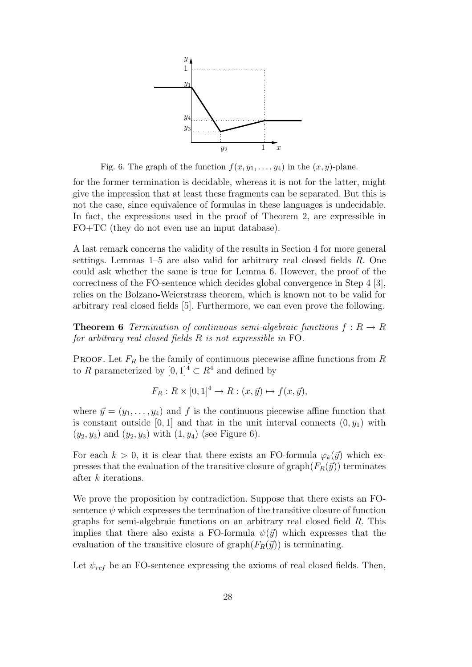

Fig. 6. The graph of the function  $f(x, y_1, \ldots, y_4)$  in the  $(x, y)$ -plane.

for the former termination is decidable, whereas it is not for the latter, might give the impression that at least these fragments can be separated. But this is not the case, since equivalence of formulas in these languages is undecidable. In fact, the expressions used in the proof of Theorem 2, are expressible in FO+TC (they do not even use an input database).

A last remark concerns the validity of the results in Section 4 for more general settings. Lemmas 1–5 are also valid for arbitrary real closed fields R. One could ask whether the same is true for Lemma 6. However, the proof of the correctness of the FO-sentence which decides global convergence in Step 4 [3], relies on the Bolzano-Weierstrass theorem, which is known not to be valid for arbitrary real closed fields [5]. Furthermore, we can even prove the following.

**Theorem 6** Termination of continuous semi-algebraic functions  $f: R \to R$ for arbitrary real closed fields R is not expressible in FO.

PROOF. Let  $F_R$  be the family of continuous piecewise affine functions from R to R parameterized by  $[0, 1]^4 \subset R^4$  and defined by

$$
F_R: R \times [0,1]^4 \to R: (x,\vec{y}) \mapsto f(x,\vec{y}),
$$

where  $\vec{y} = (y_1, \ldots, y_4)$  and f is the continuous piecewise affine function that is constant outside [0, 1] and that in the unit interval connects  $(0, y_1)$  with  $(y_2, y_3)$  and  $(y_2, y_3)$  with  $(1, y_4)$  (see Figure 6).

For each  $k > 0$ , it is clear that there exists an FO-formula  $\varphi_k(\vec{y})$  which expresses that the evaluation of the transitive closure of graph( $F_R(\vec{y})$ ) terminates after k iterations.

We prove the proposition by contradiction. Suppose that there exists an FOsentence  $\psi$  which expresses the termination of the transitive closure of function graphs for semi-algebraic functions on an arbitrary real closed field R. This implies that there also exists a FO-formula  $\psi(\vec{y})$  which expresses that the evaluation of the transitive closure of graph $(F_R(\vec{y}))$  is terminating.

Let  $\psi_{ref}$  be an FO-sentence expressing the axioms of real closed fields. Then,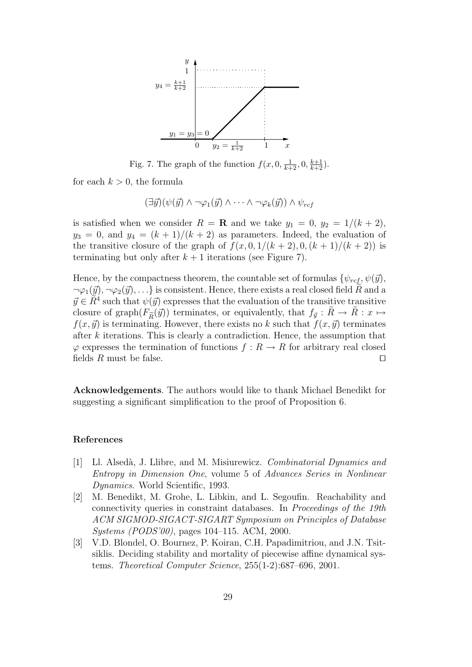

Fig. 7. The graph of the function  $f(x, 0, \frac{1}{k+2}, 0, \frac{k+1}{k+2})$ .

for each  $k > 0$ , the formula

$$
(\exists \vec{y}) (\psi(\vec{y}) \land \neg \varphi_1(\vec{y}) \land \cdots \land \neg \varphi_k(\vec{y})) \land \psi_{ref}
$$

is satisfied when we consider  $R = \mathbf{R}$  and we take  $y_1 = 0$ ,  $y_2 = 1/(k+2)$ ,  $y_3 = 0$ , and  $y_4 = (k+1)/(k+2)$  as parameters. Indeed, the evaluation of the transitive closure of the graph of  $f(x, 0, 1/(k+2), 0, (k+1)/(k+2))$  is terminating but only after  $k + 1$  iterations (see Figure 7).

Hence, by the compactness theorem, the countable set of formulas  $\{\psi_{ref}, \psi(\vec{y}),\}$  $\neg \varphi_1(\vec{y}), \neg \varphi_2(\vec{y}), \ldots$  is consistent. Hence, there exists a real closed field R and a  $\vec{y} \in \tilde{R}^4$  such that  $\psi(\vec{y})$  expresses that the evaluation of the transitive transitive closure of graph $(F_{\widetilde{R}}(\vec{y}))$  terminates, or equivalently, that  $f_{\vec{y}}: R \to R: x \mapsto$ <br> $f(x, \vec{y})$  is terminative. However, there exists no heaven that  $f(x, \vec{y})$  terminates  $f(x, \vec{y})$  is terminating. However, there exists no k such that  $f(x, \vec{y})$  terminates after k iterations. This is clearly a contradiction. Hence, the assumption that  $\varphi$  expresses the termination of functions  $f: R \to R$  for arbitrary real closed fields  $R$  must be false.

Acknowledgements. The authors would like to thank Michael Benedikt for suggesting a significant simplification to the proof of Proposition 6.

#### References

- [1] Ll. Alsedà, J. Llibre, and M. Misiurewicz. Combinatorial Dynamics and Entropy in Dimension One, volume 5 of Advances Series in Nonlinear Dynamics. World Scientific, 1993.
- [2] M. Benedikt, M. Grohe, L. Libkin, and L. Segoufin. Reachability and connectivity queries in constraint databases. In Proceedings of the 19th ACM SIGMOD-SIGACT-SIGART Symposium on Principles of Database Systems (PODS'00), pages 104–115. ACM, 2000.
- [3] V.D. Blondel, O. Bournez, P. Koiran, C.H. Papadimitriou, and J.N. Tsitsiklis. Deciding stability and mortality of piecewise affine dynamical systems. Theoretical Computer Science, 255(1-2):687–696, 2001.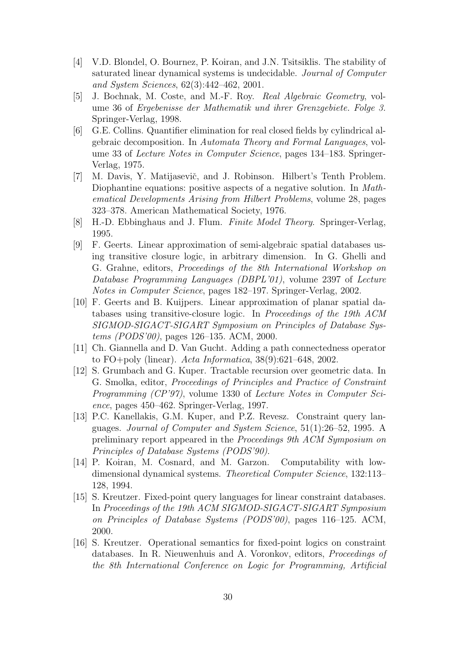- [4] V.D. Blondel, O. Bournez, P. Koiran, and J.N. Tsitsiklis. The stability of saturated linear dynamical systems is undecidable. Journal of Computer and System Sciences, 62(3):442–462, 2001.
- [5] J. Bochnak, M. Coste, and M.-F. Roy. Real Algebraic Geometry, volume 36 of Ergebenisse der Mathematik und ihrer Grenzgebiete. Folge 3. Springer-Verlag, 1998.
- [6] G.E. Collins. Quantifier elimination for real closed fields by cylindrical algebraic decomposition. In Automata Theory and Formal Languages, volume 33 of Lecture Notes in Computer Science, pages 134–183. Springer-Verlag, 1975.
- [7] M. Davis, Y. Matijasevič, and J. Robinson. Hilbert's Tenth Problem. Diophantine equations: positive aspects of a negative solution. In *Math*ematical Developments Arising from Hilbert Problems, volume 28, pages 323–378. American Mathematical Society, 1976.
- [8] H.-D. Ebbinghaus and J. Flum. Finite Model Theory. Springer-Verlag, 1995.
- [9] F. Geerts. Linear approximation of semi-algebraic spatial databases using transitive closure logic, in arbitrary dimension. In G. Ghelli and G. Grahne, editors, Proceedings of the 8th International Workshop on Database Programming Languages (DBPL'01), volume 2397 of Lecture Notes in Computer Science, pages 182–197. Springer-Verlag, 2002.
- [10] F. Geerts and B. Kuijpers. Linear approximation of planar spatial databases using transitive-closure logic. In Proceedings of the 19th ACM SIGMOD-SIGACT-SIGART Symposium on Principles of Database Systems (PODS'00), pages 126–135. ACM, 2000.
- [11] Ch. Giannella and D. Van Gucht. Adding a path connectedness operator to FO+poly (linear). Acta Informatica, 38(9):621–648, 2002.
- [12] S. Grumbach and G. Kuper. Tractable recursion over geometric data. In G. Smolka, editor, Proceedings of Principles and Practice of Constraint Programming (CP'97), volume 1330 of Lecture Notes in Computer Science, pages 450–462. Springer-Verlag, 1997.
- [13] P.C. Kanellakis, G.M. Kuper, and P.Z. Revesz. Constraint query languages. Journal of Computer and System Science, 51(1):26–52, 1995. A preliminary report appeared in the Proceedings 9th ACM Symposium on Principles of Database Systems (PODS'90).
- [14] P. Koiran, M. Cosnard, and M. Garzon. Computability with lowdimensional dynamical systems. Theoretical Computer Science, 132:113– 128, 1994.
- [15] S. Kreutzer. Fixed-point query languages for linear constraint databases. In Proceedings of the 19th ACM SIGMOD-SIGACT-SIGART Symposium on Principles of Database Systems (PODS'00), pages 116–125. ACM, 2000.
- [16] S. Kreutzer. Operational semantics for fixed-point logics on constraint databases. In R. Nieuwenhuis and A. Voronkov, editors, Proceedings of the 8th International Conference on Logic for Programming, Artificial